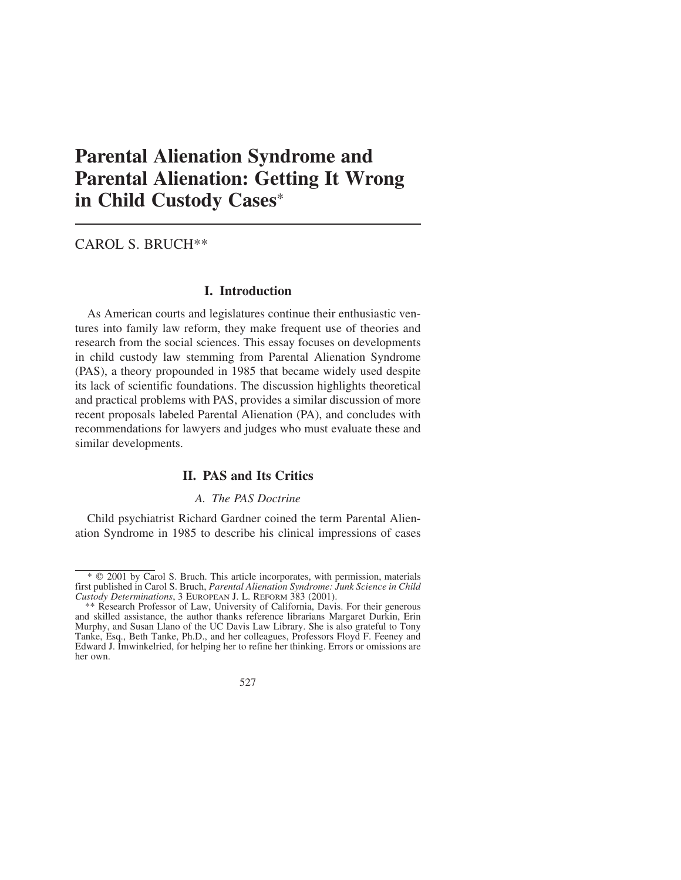# **Parental Alienation Syndrome and Parental Alienation: Getting It Wrong in Child Custody Cases**\*

# CAROL S. BRUCH\*\*

### **I. Introduction**

As American courts and legislatures continue their enthusiastic ventures into family law reform, they make frequent use of theories and research from the social sciences. This essay focuses on developments in child custody law stemming from Parental Alienation Syndrome (PAS), a theory propounded in 1985 that became widely used despite its lack of scientific foundations. The discussion highlights theoretical and practical problems with PAS, provides a similar discussion of more recent proposals labeled Parental Alienation (PA), and concludes with recommendations for lawyers and judges who must evaluate these and similar developments.

### **II. PAS and Its Critics**

#### *A. The PAS Doctrine*

Child psychiatrist Richard Gardner coined the term Parental Alienation Syndrome in 1985 to describe his clinical impressions of cases

<sup>\*\*</sup> Research Professor of Law, University of California, Davis. For their generous and skilled assistance, the author thanks reference librarians Margaret Durkin, Erin Murphy, and Susan Llano of the UC Davis Law Library. She is also grateful to Tony Tanke, Esq., Beth Tanke, Ph.D., and her colleagues, Professors Floyd F. Feeney and Edward J. Imwinkelried, for helping her to refine her thinking. Errors or omissions are her own.



<sup>\*</sup> 2001 by Carol S. Bruch. This article incorporates, with permission, materials first published in Carol S. Bruch, *Parental Alienation Syndrome: Junk Science in Child Custody Determinations*,3EUROPEAN J. L. REFORM 383 (2001).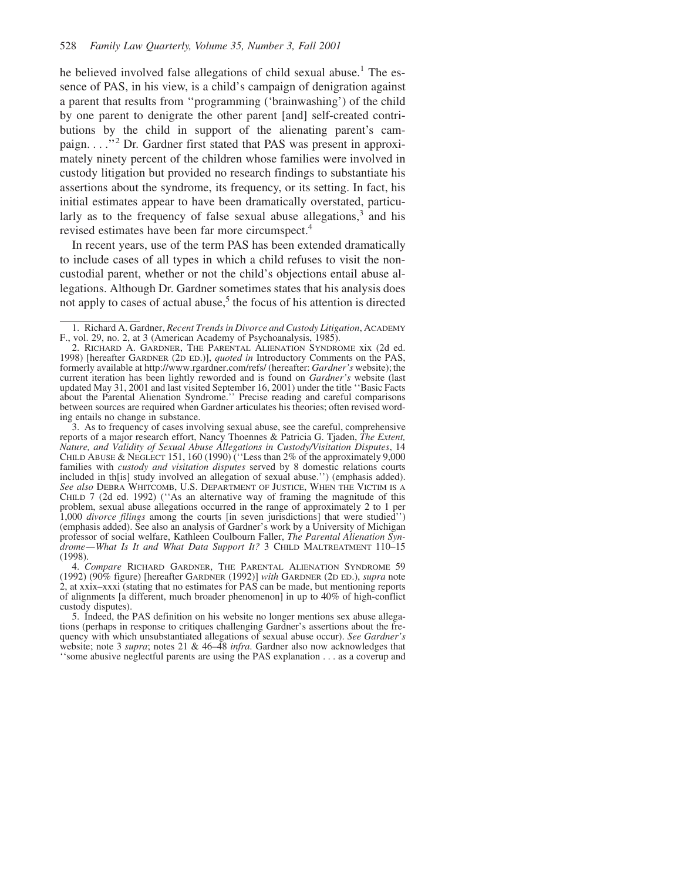he believed involved false allegations of child sexual abuse.<sup>1</sup> The essence of PAS, in his view, is a child's campaign of denigration against a parent that results from ''programming ('brainwashing') of the child by one parent to denigrate the other parent [and] self-created contributions by the child in support of the alienating parent's campaign. . . .''2 Dr. Gardner first stated that PAS was present in approximately ninety percent of the children whose families were involved in custody litigation but provided no research findings to substantiate his assertions about the syndrome, its frequency, or its setting. In fact, his initial estimates appear to have been dramatically overstated, particularly as to the frequency of false sexual abuse allegations,  $3$  and his revised estimates have been far more circumspect.<sup>4</sup>

In recent years, use of the term PAS has been extended dramatically to include cases of all types in which a child refuses to visit the noncustodial parent, whether or not the child's objections entail abuse allegations. Although Dr. Gardner sometimes states that his analysis does not apply to cases of actual abuse, $5$  the focus of his attention is directed

<sup>1.</sup> Richard A. Gardner, *Recent Trends in Divorce and Custody Litigation*, ACADEMY F., vol. 29, no. 2, at 3 (American Academy of Psychoanalysis, 1985).

<sup>2.</sup> RICHARD A. GARDNER, THE PARENTAL ALIENATION SYNDROME xix (2d ed. 1998) [hereafter GARDNER (2D ED.)], *quoted in* Introductory Comments on the PAS, formerly available at http://www.rgardner.com/refs/ (hereafter: *Gardner's* website); the current iteration has been lightly reworded and is found on *Gardner's* website (last updated May 31, 2001 and last visited September 16, 2001) under the title ''Basic Facts about the Parental Alienation Syndrome.'' Precise reading and careful comparisons between sources are required when Gardner articulates his theories; often revised wording entails no change in substance.

<sup>3.</sup> As to frequency of cases involving sexual abuse, see the careful, comprehensive reports of a major research effort, Nancy Thoennes & Patricia G. Tjaden, *The Extent, Nature, and Validity of Sexual Abuse Allegations in Custody/Visitation Disputes*, 14 CHILD ABUSE & NEGLECT 151, 160 (1990) (''Less than 2% of the approximately 9,000 families with *custody and visitation disputes* served by 8 domestic relations courts included in th[is] study involved an allegation of sexual abuse.'') (emphasis added). *See also* DEBRA WHITCOMB, U.S. DEPARTMENT OF JUSTICE, WHEN THE VICTIM IS A CHILD 7 (2d ed. 1992) (''As an alternative way of framing the magnitude of this problem, sexual abuse allegations occurred in the range of approximately 2 to 1 per 1,000 *divorce filings* among the courts [in seven jurisdictions] that were studied'') (emphasis added). See also an analysis of Gardner's work by a University of Michigan professor of social welfare, Kathleen Coulbourn Faller, *The Parental Alienation Syndrome—What Is It and What Data Support It?* 3 CHILD MALTREATMENT 110–15 (1998).

<sup>4.</sup> *Compare* RICHARD GARDNER, THE PARENTAL ALIENATION SYNDROME 59 (1992) (90% figure) [hereafter GARDNER (1992)] *with* GARDNER (2D ED.), *supra* note 2, at xxix–xxxi (stating that no estimates for PAS can be made, but mentioning reports of alignments [a different, much broader phenomenon] in up to 40% of high-conflict custody disputes).

<sup>5.</sup> Indeed, the PAS definition on his website no longer mentions sex abuse allegations (perhaps in response to critiques challenging Gardner's assertions about the frequency with which unsubstantiated allegations of sexual abuse occur). *See Gardner's* website; note 3 *supra*; notes 21 & 46–48 *infra*. Gardner also now acknowledges that ''some abusive neglectful parents are using the PAS explanation . . . as a coverup and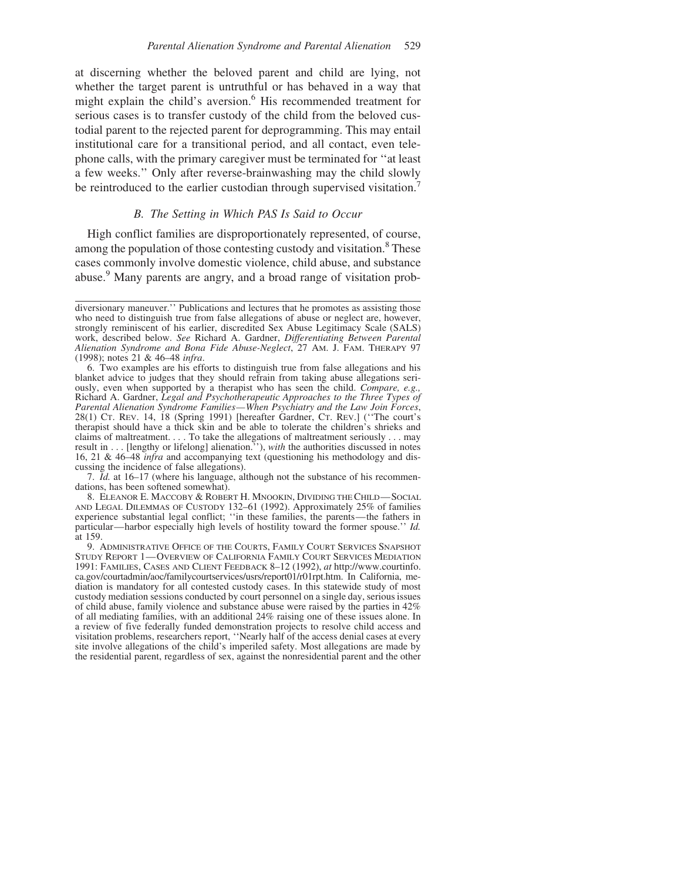at discerning whether the beloved parent and child are lying, not whether the target parent is untruthful or has behaved in a way that might explain the child's aversion.<sup>6</sup> His recommended treatment for serious cases is to transfer custody of the child from the beloved custodial parent to the rejected parent for deprogramming. This may entail institutional care for a transitional period, and all contact, even telephone calls, with the primary caregiver must be terminated for ''at least a few weeks.'' Only after reverse-brainwashing may the child slowly be reintroduced to the earlier custodian through supervised visitation.<sup>7</sup>

## *B. The Setting in Which PAS Is Said to Occur*

High conflict families are disproportionately represented, of course, among the population of those contesting custody and visitation.<sup>8</sup> These cases commonly involve domestic violence, child abuse, and substance abuse.<sup>9</sup> Many parents are angry, and a broad range of visitation prob-

7. *Id.* at 16–17 (where his language, although not the substance of his recommendations, has been softened somewhat).

8. ELEANOR E. MACCOBY & ROBERT H. MNOOKIN, DIVIDING THECHILD—SOCIAL AND LEGAL DILEMMAS OF CUSTODY 132–61 (1992). Approximately 25% of families experience substantial legal conflict; ''in these families, the parents—the fathers in particular—harbor especially high levels of hostility toward the former spouse.'' *Id.* at 159.

diversionary maneuver.'' Publications and lectures that he promotes as assisting those who need to distinguish true from false allegations of abuse or neglect are, however, strongly reminiscent of his earlier, discredited Sex Abuse Legitimacy Scale (SALS) work, described below. *See* Richard A. Gardner, *Differentiating Between Parental Alienation Syndrome and Bona Fide Abuse-Neglect*, 27 AM. J. FAM. THERAPY 97 (1998); notes 21 & 46–48 *infra*.

<sup>6.</sup> Two examples are his efforts to distinguish true from false allegations and his blanket advice to judges that they should refrain from taking abuse allegations seriously, even when supported by a therapist who has seen the child. *Compare, e.g.,* Richard A. Gardner, *Legal and Psychotherapeutic Approaches to the Three Types of Parental Alienation Syndrome Families—When Psychiatry and the Law Join Forces*, 28(1) CT. REV. 14, 18 (Spring 1991) [hereafter Gardner, CT. REV.] (''The court's therapist should have a thick skin and be able to tolerate the children's shrieks and claims of maltreatment. . . . To take the allegations of maltreatment seriously . . . may result in . . . [lengthy or lifelong] alienation.''), *with* the authorities discussed in notes 16, 21 & 46–48 *infra* and accompanying text (questioning his methodology and discussing the incidence of false allegations).

<sup>9.</sup> ADMINISTRATIVE OFFICE OF THE COURTS, FAMILY COURT SERVICES SNAPSHOT STUDY REPORT 1—OVERVIEW OF CALIFORNIA FAMILY COURT SERVICES MEDIATION 1991: FAMILIES, CASES AND CLIENT FEEDBACK 8–12 (1992), *at* http://www.courtinfo. ca.gov/courtadmin/aoc/familycourtservices/usrs/report01/r01rpt.htm. In California, mediation is mandatory for all contested custody cases. In this statewide study of most custody mediation sessions conducted by court personnel on a single day, serious issues of child abuse, family violence and substance abuse were raised by the parties in 42% of all mediating families, with an additional 24% raising one of these issues alone. In a review of five federally funded demonstration projects to resolve child access and visitation problems, researchers report, ''Nearly half of the access denial cases at every site involve allegations of the child's imperiled safety. Most allegations are made by the residential parent, regardless of sex, against the nonresidential parent and the other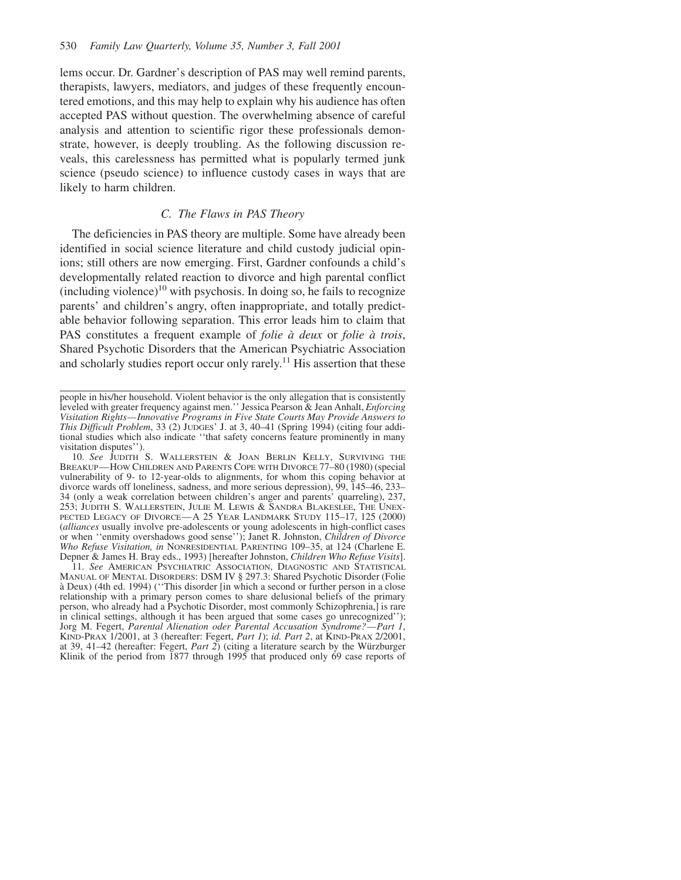lems occur. Dr. Gardner's description of PAS may well remind parents, therapists, lawyers, mediators, and judges of these frequently encountered emotions, and this may help to explain why his audience has often accepted PAS without question. The overwhelming absence of careful analysis and attention to scientific rigor these professionals demonstrate, however, is deeply troubling. As the following discussion reveals, this carelessness has permitted what is popularly termed junk science (pseudo science) to influence custody cases in ways that are likely to harm children.

#### *C. The Flaws in PAS Theory*

The deficiencies in PAS theory are multiple. Some have already been identified in social science literature and child custody judicial opinions; still others are now emerging. First, Gardner confounds a child's developmentally related reaction to divorce and high parental conflict  $(including violence)<sup>10</sup>$  with psychosis. In doing so, he fails to recognize parents' and children's angry, often inappropriate, and totally predictable behavior following separation. This error leads him to claim that PAS constitutes a frequent example of *folie à deux* or *folie à trois*, Shared Psychotic Disorders that the American Psychiatric Association and scholarly studies report occur only rarely.<sup>11</sup> His assertion that these

11. *See* AMERICAN PSYCHIATRIC ASSOCIATION, DIAGNOSTIC AND STATISTICAL MANUAL OF MENTAL DISORDERS: DSM IV § 297.3: Shared Psychotic Disorder (Folie a` Deux) (4th ed. 1994) (''This disorder [in which a second or further person in a close relationship with a primary person comes to share delusional beliefs of the primary person, who already had a Psychotic Disorder, most commonly Schizophrenia,] is rare in clinical settings, although it has been argued that some cases go unrecognized''); Jorg M. Fegert, *Parental Alienation oder Parental Accusation Syndrome?—Part 1*, KIND-PRAX 1/2001, at 3 (hereafter: Fegert, *Part 1*); *id. Part 2*, at KIND-PRAX 2/2001, at 39, 41–42 (hereafter: Fegert, *Part 2*) (citing a literature search by the Würzburger Klinik of the period from 1877 through 1995 that produced only 69 case reports of

people in his/her household. Violent behavior is the only allegation that is consistently leveled with greater frequency against men.'' Jessica Pearson & Jean Anhalt, *Enforcing Visitation Rights—Innovative Programs in Five State Courts May Provide Answers to This Difficult Problem*, 33 (2) JUDGES' J. at 3, 40–41 (Spring 1994) (citing four additional studies which also indicate ''that safety concerns feature prominently in many visitation disputes'').

<sup>10.</sup> *See* JUDITH S. WALLERSTEIN & JOAN BERLIN KELLY, SURVIVING THE BREAKUP—HOW CHILDREN AND PARENTS COPE WITH DIVORCE 77–80 (1980) (special vulnerability of 9- to 12-year-olds to alignments, for whom this coping behavior at divorce wards off loneliness, sadness, and more serious depression), 99, 145–46, 233– 34 (only a weak correlation between children's anger and parents' quarreling), 237, 253; JUDITH S. WALLERSTEIN, JULIE M. LEWIS & SANDRA BLAKESLEE, THE UNEX-PECTED LEGACY OF DIVORCE-A 25 YEAR LANDMARK STUDY 115-17, 125 (2000) (*alliances* usually involve pre-adolescents or young adolescents in high-conflict cases or when ''enmity overshadows good sense''); Janet R. Johnston, *Children of Divorce Who Refuse Visitation, in* NONRESIDENTIAL PARENTING 109–35, at 124 (Charlene E. Depner & James H. Bray eds., 1993) [hereafter Johnston, *Children Who Refuse Visits*].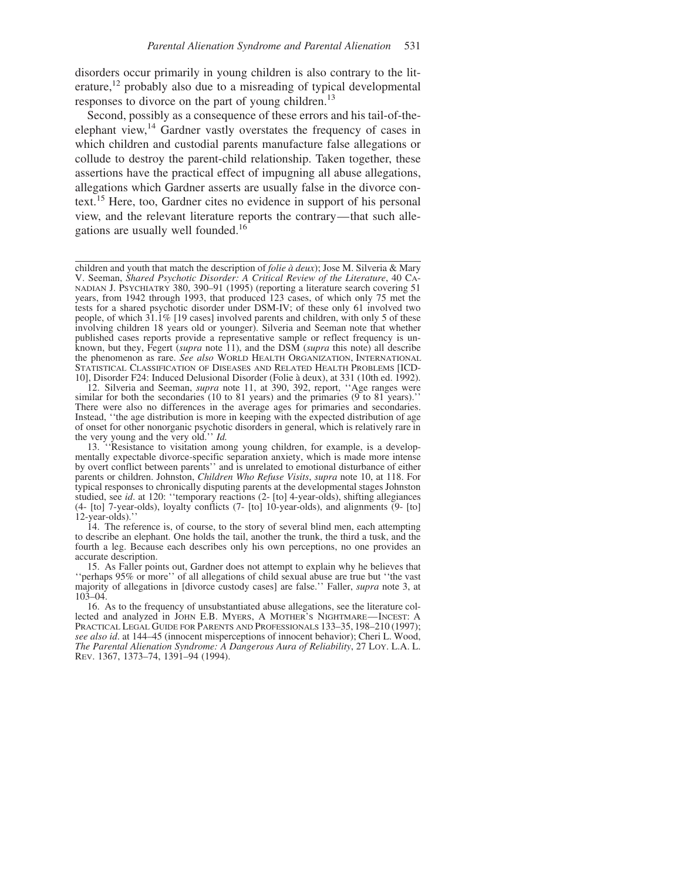disorders occur primarily in young children is also contrary to the literature,<sup>12</sup> probably also due to a misreading of typical developmental responses to divorce on the part of young children.<sup>13</sup>

Second, possibly as a consequence of these errors and his tail-of-theelephant view,<sup>14</sup> Gardner vastly overstates the frequency of cases in which children and custodial parents manufacture false allegations or collude to destroy the parent-child relationship. Taken together, these assertions have the practical effect of impugning all abuse allegations, allegations which Gardner asserts are usually false in the divorce context.<sup>15</sup> Here, too, Gardner cites no evidence in support of his personal view, and the relevant literature reports the contrary—that such allegations are usually well founded.<sup>16</sup>

children and youth that match the description of *folie a` deux*); Jose M. Silveria & Mary V. Seeman, *Shared Psychotic Disorder: A Critical Review of the Literature*, 40 CA- NADIAN J. PSYCHIATRY 380, 390–91 (1995) (reporting a literature search covering 51 years, from 1942 through 1993, that produced 123 cases, of which only 75 met the tests for a shared psychotic disorder under DSM-IV; of these only 61 involved two people, of which 31.1% [19 cases] involved parents and children, with only 5 of these involving children 18 years old or younger). Silveria and Seeman note that whether published cases reports provide a representative sample or reflect frequency is unknown, but they, Fegert (*supra* note 11), and the DSM (*supra* this note) all describe the phenomenon as rare. *See also* WORLD HEALTH ORGANIZATION, INTERNATIONAL STATISTICAL CLASSIFICATION OF DISEASES AND RELATED HEALTH PROBLEMS [ICD-10], Disorder F24: Induced Delusional Disorder (Folie a` deux), at 331 (10th ed. 1992).

<sup>12.</sup> Silveria and Seeman, *supra* note 11, at 390, 392, report, ''Age ranges were similar for both the secondaries (10 to 81 years) and the primaries (9 to 81 years).' There were also no differences in the average ages for primaries and secondaries. Instead, ''the age distribution is more in keeping with the expected distribution of age of onset for other nonorganic psychotic disorders in general, which is relatively rare in the very young and the very old.'' *Id.*

<sup>13. &#</sup>x27;'Resistance to visitation among young children, for example, is a developmentally expectable divorce-specific separation anxiety, which is made more intense by overt conflict between parents'' and is unrelated to emotional disturbance of either parents or children. Johnston, *Children Who Refuse Visits*, *supra* note 10, at 118. For typical responses to chronically disputing parents at the developmental stages Johnston studied, see *id*. at 120: ''temporary reactions (2- [to] 4-year-olds), shifting allegiances (4- [to] 7-year-olds), loyalty conflicts (7- [to] 10-year-olds), and alignments (9- [to] 12-year-olds).''

<sup>14.</sup> The reference is, of course, to the story of several blind men, each attempting to describe an elephant. One holds the tail, another the trunk, the third a tusk, and the fourth a leg. Because each describes only his own perceptions, no one provides an accurate description.

<sup>15.</sup> As Faller points out, Gardner does not attempt to explain why he believes that ''perhaps 95% or more'' of all allegations of child sexual abuse are true but ''the vast majority of allegations in [divorce custody cases] are false.'' Faller, *supra* note 3, at 103–04.

<sup>16.</sup> As to the frequency of unsubstantiated abuse allegations, see the literature collected and analyzed in JOHN E.B. MYERS, A MOTHER'S NIGHTMARE-INCEST: A PRACTICAL LEGAL GUIDE FOR PARENTS AND PROFESSIONALS 133–35, 198–210 (1997); *see also id*. at 144–45 (innocent misperceptions of innocent behavior); Cheri L. Wood, *The Parental Alienation Syndrome: A Dangerous Aura of Reliability*, 27 LOY. L.A. L. REV. 1367, 1373–74, 1391–94 (1994).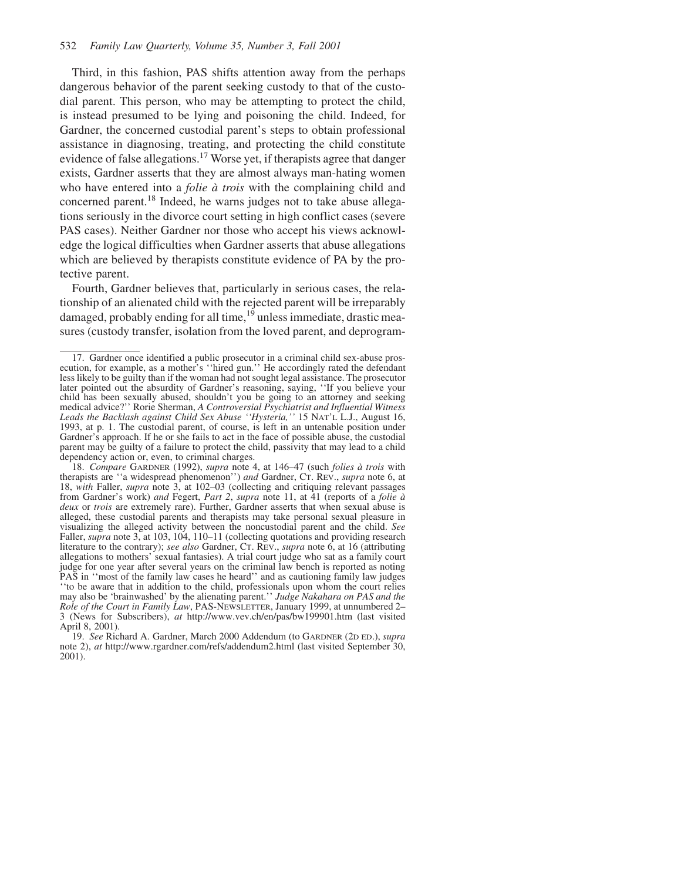Third, in this fashion, PAS shifts attention away from the perhaps dangerous behavior of the parent seeking custody to that of the custodial parent. This person, who may be attempting to protect the child, is instead presumed to be lying and poisoning the child. Indeed, for Gardner, the concerned custodial parent's steps to obtain professional assistance in diagnosing, treating, and protecting the child constitute evidence of false allegations.<sup>17</sup> Worse yet, if therapists agree that danger exists, Gardner asserts that they are almost always man-hating women who have entered into a *folie à trois* with the complaining child and concerned parent.<sup>18</sup> Indeed, he warns judges not to take abuse allegations seriously in the divorce court setting in high conflict cases (severe PAS cases). Neither Gardner nor those who accept his views acknowledge the logical difficulties when Gardner asserts that abuse allegations which are believed by therapists constitute evidence of PA by the protective parent.

Fourth, Gardner believes that, particularly in serious cases, the relationship of an alienated child with the rejected parent will be irreparably damaged, probably ending for all time,<sup>19</sup> unless immediate, drastic measures (custody transfer, isolation from the loved parent, and deprogram-

<sup>17.</sup> Gardner once identified a public prosecutor in a criminal child sex-abuse prosecution, for example, as a mother's ''hired gun.'' He accordingly rated the defendant less likely to be guilty than if the woman had not sought legal assistance. The prosecutor later pointed out the absurdity of Gardner's reasoning, saying, ''If you believe your child has been sexually abused, shouldn't you be going to an attorney and seeking medical advice?'' Rorie Sherman, *A Controversial Psychiatrist and Influential Witness Leads the Backlash against Child Sex Abuse ''Hysteria,''* 15 NAT'L L.J., August 16, 1993, at p. 1. The custodial parent, of course, is left in an untenable position under Gardner's approach. If he or she fails to act in the face of possible abuse, the custodial parent may be guilty of a failure to protect the child, passivity that may lead to a child dependency action or, even, to criminal charges.

<sup>18.</sup> *Compare* GARDNER (1992), *supra* note 4, at 146–47 (such *folies a` trois* with therapists are ''a widespread phenomenon'') *and* Gardner, CT. REV., *supra* note 6, at 18, *with* Faller, *supra* note 3, at 102–03 (collecting and critiquing relevant passages from Gardner's work) *and* Fegert, *Part 2*, *supra* note 11, at 41 (reports of a *folie a` deux* or *trois* are extremely rare). Further, Gardner asserts that when sexual abuse is alleged, these custodial parents and therapists may take personal sexual pleasure in visualizing the alleged activity between the noncustodial parent and the child. *See* Faller, *supra* note 3, at 103, 104, 110-11 (collecting quotations and providing research literature to the contrary); *see also* Gardner, CT. REV., *supra* note 6, at 16 (attributing allegations to mothers' sexual fantasies). A trial court judge who sat as a family court judge for one year after several years on the criminal law bench is reported as noting PAS in ''most of the family law cases he heard'' and as cautioning family law judges ''to be aware that in addition to the child, professionals upon whom the court relies may also be 'brainwashed' by the alienating parent.'' *Judge Nakahara on PAS and the Role of the Court in Family Law*, PAS-NEWSLETTER, January 1999, at unnumbered 2– 3 (News for Subscribers), *at* http://www.vev.ch/en/pas/bw199901.htm (last visited April 8, 2001).

<sup>19.</sup> *See* Richard A. Gardner, March 2000 Addendum (to GARDNER (2D ED.), *supra* note 2), *at* http://www.rgardner.com/refs/addendum2.html (last visited September 30, 2001).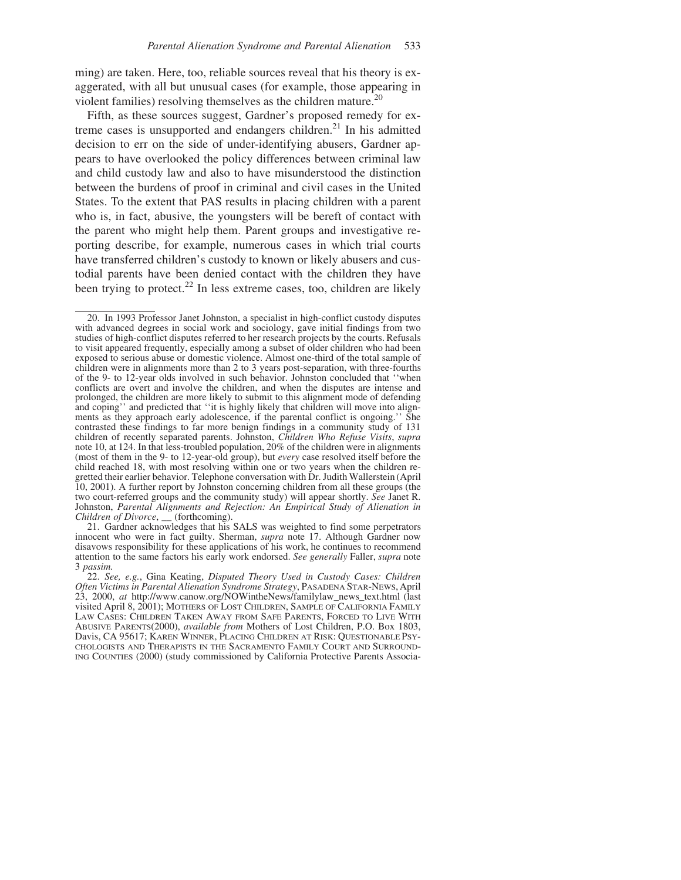ming) are taken. Here, too, reliable sources reveal that his theory is exaggerated, with all but unusual cases (for example, those appearing in violent families) resolving themselves as the children mature.<sup>20</sup>

Fifth, as these sources suggest, Gardner's proposed remedy for extreme cases is unsupported and endangers children.<sup>21</sup> In his admitted decision to err on the side of under-identifying abusers, Gardner appears to have overlooked the policy differences between criminal law and child custody law and also to have misunderstood the distinction between the burdens of proof in criminal and civil cases in the United States. To the extent that PAS results in placing children with a parent who is, in fact, abusive, the youngsters will be bereft of contact with the parent who might help them. Parent groups and investigative reporting describe, for example, numerous cases in which trial courts have transferred children's custody to known or likely abusers and custodial parents have been denied contact with the children they have been trying to protect.<sup>22</sup> In less extreme cases, too, children are likely

21. Gardner acknowledges that his SALS was weighted to find some perpetrators innocent who were in fact guilty. Sherman, *supra* note 17. Although Gardner now disavows responsibility for these applications of his work, he continues to recommend attention to the same factors his early work endorsed. *See generally* Faller, *supra* note 3 *passim.*

<sup>20.</sup> In 1993 Professor Janet Johnston, a specialist in high-conflict custody disputes with advanced degrees in social work and sociology, gave initial findings from two studies of high-conflict disputes referred to her research projects by the courts. Refusals to visit appeared frequently, especially among a subset of older children who had been exposed to serious abuse or domestic violence. Almost one-third of the total sample of children were in alignments more than 2 to 3 years post-separation, with three-fourths of the 9- to 12-year olds involved in such behavior. Johnston concluded that ''when conflicts are overt and involve the children, and when the disputes are intense and prolonged, the children are more likely to submit to this alignment mode of defending and coping'' and predicted that ''it is highly likely that children will move into alignments as they approach early adolescence, if the parental conflict is ongoing.'' She contrasted these findings to far more benign findings in a community study of 131 children of recently separated parents. Johnston, *Children Who Refuse Visits*, *supra* note 10, at 124. In that less-troubled population, 20% of the children were in alignments (most of them in the 9- to 12-year-old group), but *every* case resolved itself before the child reached 18, with most resolving within one or two years when the children regretted their earlier behavior. Telephone conversation with Dr. Judith Wallerstein (April 10, 2001). A further report by Johnston concerning children from all these groups (the two court-referred groups and the community study) will appear shortly. *See* Janet R. Johnston, *Parental Alignments and Rejection: An Empirical Study of Alienation in Children of Divorce*, \_\_ (forthcoming).

<sup>22.</sup> *See, e.g.*, Gina Keating, *Disputed Theory Used in Custody Cases: Children Often Victims in Parental Alienation Syndrome Strategy*, PASADENA STAR-NEWS, April 23, 2000, *at* http://www.canow.org/NOWintheNews/familylaw\_news\_text.html (last visited April 8, 2001); MOTHERS OF LOST CHILDREN, SAMPLE OF CALIFORNIA FAMILY LAW CASES: CHILDREN TAKEN AWAY FROM SAFE PARENTS, FORCED TO LIVE WITH ABUSIVE PARENTS(2000), *available from* Mothers of Lost Children, P.O. Box 1803, Davis, CA 95617; KAREN WINNER, PLACING CHILDREN AT RISK: QUESTIONABLE PSY-CHOLOGISTS AND THERAPISTS IN THE SACRAMENTO FAMILY COURT AND SURROUND-ING COUNTIES (2000) (study commissioned by California Protective Parents Associa-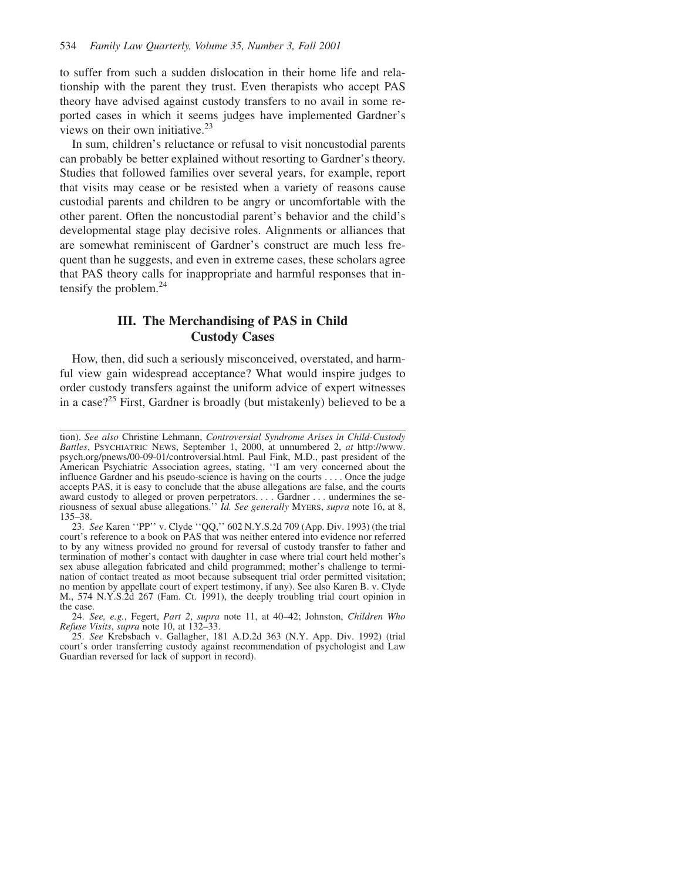to suffer from such a sudden dislocation in their home life and relationship with the parent they trust. Even therapists who accept PAS theory have advised against custody transfers to no avail in some reported cases in which it seems judges have implemented Gardner's views on their own initiative.<sup>23</sup>

In sum, children's reluctance or refusal to visit noncustodial parents can probably be better explained without resorting to Gardner's theory. Studies that followed families over several years, for example, report that visits may cease or be resisted when a variety of reasons cause custodial parents and children to be angry or uncomfortable with the other parent. Often the noncustodial parent's behavior and the child's developmental stage play decisive roles. Alignments or alliances that are somewhat reminiscent of Gardner's construct are much less frequent than he suggests, and even in extreme cases, these scholars agree that PAS theory calls for inappropriate and harmful responses that intensify the problem.24

# **III. The Merchandising of PAS in Child Custody Cases**

How, then, did such a seriously misconceived, overstated, and harmful view gain widespread acceptance? What would inspire judges to order custody transfers against the uniform advice of expert witnesses in a case?<sup>25</sup> First, Gardner is broadly (but mistakenly) believed to be a

tion). *See also* Christine Lehmann, *Controversial Syndrome Arises in Child-Custody Battles*, PSYCHIATRIC NEWS, September 1, 2000, at unnumbered 2, *at* http://www. psych.org/pnews/00-09-01/controversial.html. Paul Fink, M.D., past president of the American Psychiatric Association agrees, stating, ''I am very concerned about the influence Gardner and his pseudo-science is having on the courts .... Once the judge accepts PAS, it is easy to conclude that the abuse allegations are false, and the courts award custody to alleged or proven perpetrators. . . . Gardner . . . undermines the seriousness of sexual abuse allegations.'' *Id. See generally* MYERS, *supra* note 16, at 8, 135–38.

<sup>23.</sup> *See* Karen ''PP'' v. Clyde ''QQ,'' 602 N.Y.S.2d 709 (App. Div. 1993) (the trial court's reference to a book on PAS that was neither entered into evidence nor referred to by any witness provided no ground for reversal of custody transfer to father and termination of mother's contact with daughter in case where trial court held mother's sex abuse allegation fabricated and child programmed; mother's challenge to termination of contact treated as moot because subsequent trial order permitted visitation; no mention by appellate court of expert testimony, if any). See also Karen B. v. Clyde M., 574 N.Y.S.2d 267 (Fam. Ct. 1991), the deeply troubling trial court opinion in the case.

<sup>24.</sup> *See, e.g.*, Fegert, *Part 2*, *supra* note 11, at 40–42; Johnston, *Children Who Refuse Visits*, *supra* note 10, at 132–33.

<sup>25.</sup> *See* Krebsbach v. Gallagher, 181 A.D.2d 363 (N.Y. App. Div. 1992) (trial court's order transferring custody against recommendation of psychologist and Law Guardian reversed for lack of support in record).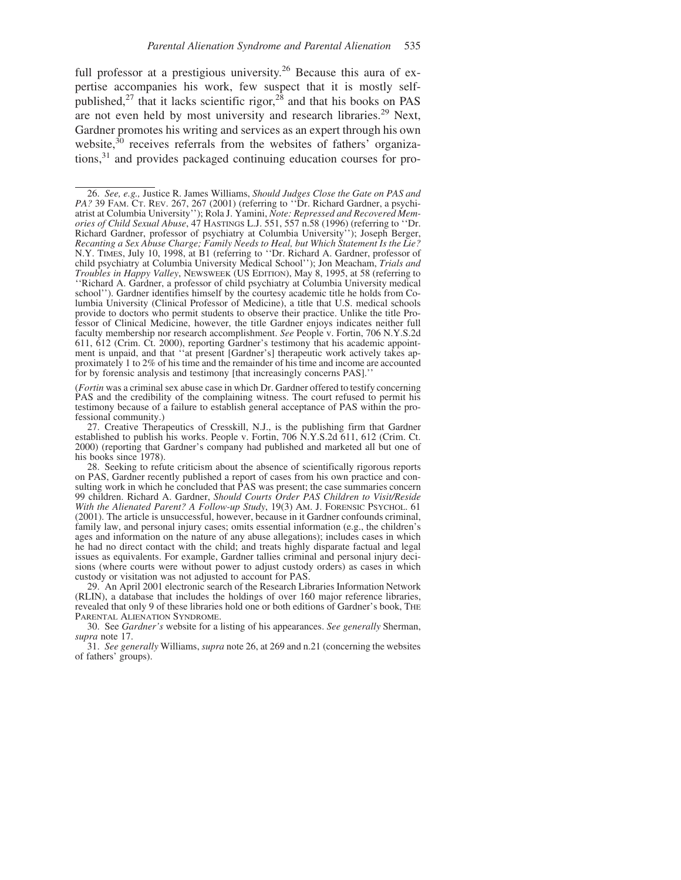full professor at a prestigious university.<sup>26</sup> Because this aura of expertise accompanies his work, few suspect that it is mostly selfpublished,<sup>27</sup> that it lacks scientific rigor,<sup>28</sup> and that his books on PAS are not even held by most university and research libraries.<sup>29</sup> Next, Gardner promotes his writing and services as an expert through his own website,<sup>30</sup> receives referrals from the websites of fathers' organizations,31 and provides packaged continuing education courses for pro-

(*Fortin* was a criminal sex abuse case in which Dr. Gardner offered to testify concerning PAS and the credibility of the complaining witness. The court refused to permit his testimony because of a failure to establish general acceptance of PAS within the professional community.)

27. Creative Therapeutics of Cresskill, N.J., is the publishing firm that Gardner established to publish his works. People v. Fortin, 706 N.Y.S.2d 611, 612 (Crim. Ct. 2000) (reporting that Gardner's company had published and marketed all but one of his books since 1978).

29. An April 2001 electronic search of the Research Libraries Information Network (RLIN), a database that includes the holdings of over 160 major reference libraries, revealed that only 9 of these libraries hold one or both editions of Gardner's book, THE PARENTAL ALIENATION SYNDROME.

30. See *Gardner's* website for a listing of his appearances. *See generally* Sherman, *supra* note 17.

31. *See generally* Williams, *supra* note 26, at 269 and n.21 (concerning the websites of fathers' groups).

<sup>26.</sup> *See, e.g.,* Justice R. James Williams, *Should Judges Close the Gate on PAS and PA?* 39 FAM. CT. REV. 267, 267 (2001) (referring to ''Dr. Richard Gardner, a psychiatrist at Columbia University''); Rola J. Yamini, *Note: Repressed and Recovered Memories of Child Sexual Abuse*, 47 HASTINGS L.J. 551, 557 n.58 (1996) (referring to ''Dr. Richard Gardner, professor of psychiatry at Columbia University''); Joseph Berger, *Recanting a Sex Abuse Charge; Family Needs to Heal, but Which Statement Is the Lie?* N.Y. TIMES, July 10, 1998, at B1 (referring to ''Dr. Richard A. Gardner, professor of child psychiatry at Columbia University Medical School''); Jon Meacham, *Trials and Troubles in Happy Valley*, NEWSWEEK (US EDITION), May 8, 1995, at 58 (referring to ''Richard A. Gardner, a professor of child psychiatry at Columbia University medical school''). Gardner identifies himself by the courtesy academic title he holds from Columbia University (Clinical Professor of Medicine), a title that U.S. medical schools provide to doctors who permit students to observe their practice. Unlike the title Professor of Clinical Medicine, however, the title Gardner enjoys indicates neither full faculty membership nor research accomplishment. *See* People v. Fortin, 706 N.Y.S.2d 611, 612 (Crim. Ct. 2000), reporting Gardner's testimony that his academic appointment is unpaid, and that ''at present [Gardner's] therapeutic work actively takes approximately 1 to 2% of his time and the remainder of his time and income are accounted for by forensic analysis and testimony [that increasingly concerns PAS].''

<sup>28.</sup> Seeking to refute criticism about the absence of scientifically rigorous reports on PAS, Gardner recently published a report of cases from his own practice and consulting work in which he concluded that PAS was present; the case summaries concern 99 children. Richard A. Gardner, *Should Courts Order PAS Children to Visit/Reside With the Alienated Parent? A Follow-up Study*, 19(3) AM. J. FORENSIC PSYCHOL. 61 (2001). The article is unsuccessful, however, because in it Gardner confounds criminal, family law, and personal injury cases; omits essential information (e.g., the children's ages and information on the nature of any abuse allegations); includes cases in which he had no direct contact with the child; and treats highly disparate factual and legal issues as equivalents. For example, Gardner tallies criminal and personal injury decisions (where courts were without power to adjust custody orders) as cases in which custody or visitation was not adjusted to account for PAS.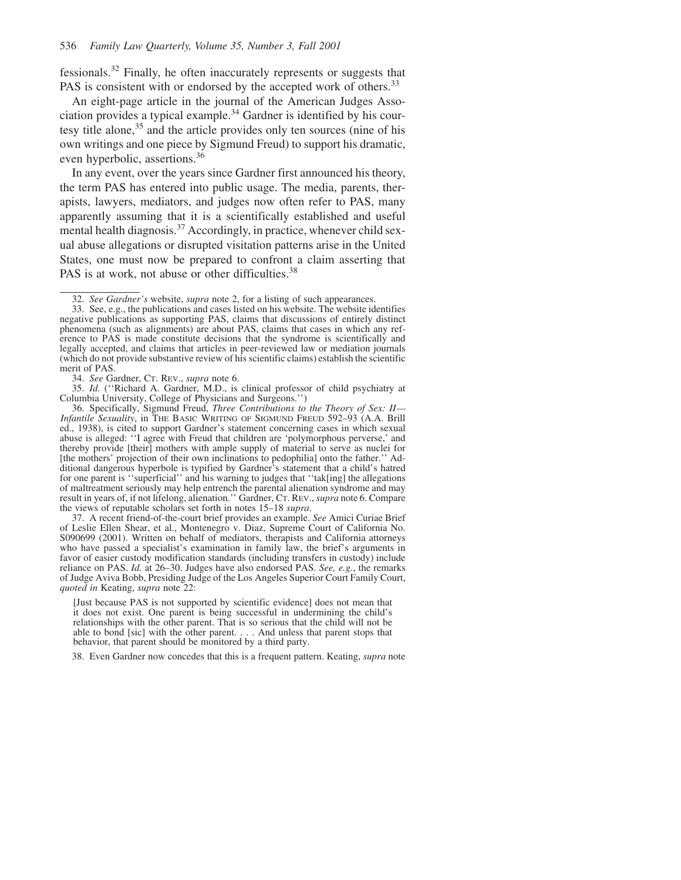fessionals.32 Finally, he often inaccurately represents or suggests that PAS is consistent with or endorsed by the accepted work of others.<sup>33</sup>

An eight-page article in the journal of the American Judges Association provides a typical example.<sup>34</sup> Gardner is identified by his courtesy title alone,<sup>35</sup> and the article provides only ten sources (nine of his own writings and one piece by Sigmund Freud) to support his dramatic, even hyperbolic, assertions.36

In any event, over the years since Gardner first announced his theory, the term PAS has entered into public usage. The media, parents, therapists, lawyers, mediators, and judges now often refer to PAS, many apparently assuming that it is a scientifically established and useful mental health diagnosis. $37$  Accordingly, in practice, whenever child sexual abuse allegations or disrupted visitation patterns arise in the United States, one must now be prepared to confront a claim asserting that PAS is at work, not abuse or other difficulties.<sup>38</sup>

37. A recent friend-of-the-court brief provides an example. *See* Amici Curiae Brief of Leslie Ellen Shear, et al., Montenegro v. Diaz, Supreme Court of California No. S090699 (2001). Written on behalf of mediators, therapists and California attorneys who have passed a specialist's examination in family law, the brief's arguments in favor of easier custody modification standards (including transfers in custody) include reliance on PAS. *Id.* at 26–30. Judges have also endorsed PAS. *See, e.g.*, the remarks of Judge Aviva Bobb, Presiding Judge of the Los Angeles Superior Court Family Court, *quoted in* Keating, *supra* note 22:

38. Even Gardner now concedes that this is a frequent pattern. Keating, *supra* note

<sup>32.</sup> *See Gardner's* website, *supra* note 2, for a listing of such appearances.

<sup>33.</sup> See, e.g., the publications and cases listed on his website. The website identifies negative publications as supporting PAS, claims that discussions of entirely distinct phenomena (such as alignments) are about PAS, claims that cases in which any reference to PAS is made constitute decisions that the syndrome is scientifically and legally accepted, and claims that articles in peer-reviewed law or mediation journals (which do not provide substantive review of his scientific claims) establish the scientific merit of PAS.

<sup>34.</sup> *See* Gardner, CT. REV., *supra* note 6.

<sup>35.</sup> *Id.* (''Richard A. Gardner, M.D., is clinical professor of child psychiatry at Columbia University, College of Physicians and Surgeons.'')

<sup>36.</sup> Specifically, Sigmund Freud, *Three Contributions to the Theory of Sex: II— Infantile Sexuality*, in THE BASIC WRITING OF SIGMUND FREUD 592–93 (A.A. Brill ed., 1938), is cited to support Gardner's statement concerning cases in which sexual abuse is alleged: ''I agree with Freud that children are 'polymorphous perverse,' and thereby provide [their] mothers with ample supply of material to serve as nuclei for [the mothers' projection of their own inclinations to pedophilia] onto the father.'' Additional dangerous hyperbole is typified by Gardner's statement that a child's hatred for one parent is ''superficial'' and his warning to judges that ''tak[ing] the allegations of maltreatment seriously may help entrench the parental alienation syndrome and may result in years of, if not lifelong, alienation.'' Gardner, CT. REV.,*supra* note 6. Compare the views of reputable scholars set forth in notes 15–18 *supra*.

<sup>[</sup>Just because PAS is not supported by scientific evidence] does not mean that it does not exist. One parent is being successful in undermining the child's relationships with the other parent. That is so serious that the child will not be able to bond [sic] with the other parent. . . . And unless that parent stops that behavior, that parent should be monitored by a third party.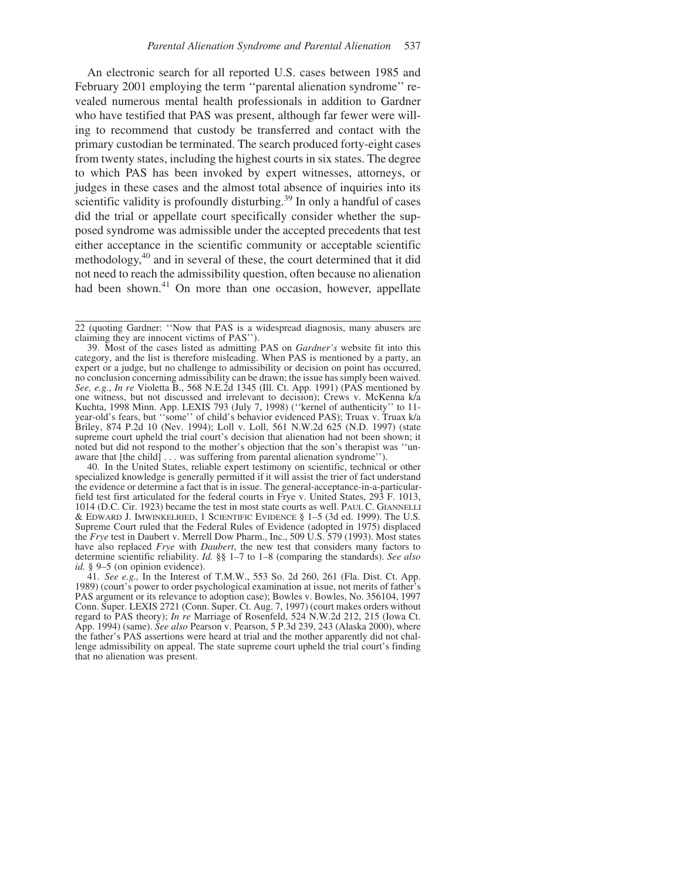An electronic search for all reported U.S. cases between 1985 and February 2001 employing the term "parental alienation syndrome" revealed numerous mental health professionals in addition to Gardner who have testified that PAS was present, although far fewer were willing to recommend that custody be transferred and contact with the primary custodian be terminated. The search produced forty-eight cases from twenty states, including the highest courts in six states. The degree to which PAS has been invoked by expert witnesses, attorneys, or judges in these cases and the almost total absence of inquiries into its scientific validity is profoundly disturbing.<sup>39</sup> In only a handful of cases did the trial or appellate court specifically consider whether the supposed syndrome was admissible under the accepted precedents that test either acceptance in the scientific community or acceptable scientific methodology,<sup>40</sup> and in several of these, the court determined that it did not need to reach the admissibility question, often because no alienation had been shown.<sup>41</sup> On more than one occasion, however, appellate

40. In the United States, reliable expert testimony on scientific, technical or other specialized knowledge is generally permitted if it will assist the trier of fact understand the evidence or determine a fact that is in issue. The general-acceptance-in-a-particularfield test first articulated for the federal courts in Frye v. United States, 293 F. 1013, 1014 (D.C. Cir. 1923) became the test in most state courts as well. PAUL C. GIANNELLI  $&$  EDWARD J. IMWINKELRIED, 1 SCIENTIFIC EVIDENCE  $&$  1–5 (3d ed. 1999). The U.S. Supreme Court ruled that the Federal Rules of Evidence (adopted in 1975) displaced the *Frye* test in Daubert v. Merrell Dow Pharm., Inc., 509 U.S. 579 (1993). Most states have also replaced *Frye* with *Daubert*, the new test that considers many factors to determine scientific reliability. *Id.* §§ 1–7 to 1–8 (comparing the standards). *See also id.* § 9–5 (on opinion evidence).

41. *See e.g.,* In the Interest of T.M.W., 553 So. 2d 260, 261 (Fla. Dist. Ct. App. 1989) (court's power to order psychological examination at issue, not merits of father's PAS argument or its relevance to adoption case); Bowles v. Bowles, No. 356104, 1997 Conn. Super. LEXIS 2721 (Conn. Super. Ct. Aug. 7, 1997) (court makes orders without regard to PAS theory); *In re* Marriage of Rosenfeld, 524 N.W.2d 212, 215 (Iowa Ct. App. 1994) (same). *See also* Pearson v. Pearson, 5 P.3d 239, 243 (Alaska 2000), where the father's PAS assertions were heard at trial and the mother apparently did not challenge admissibility on appeal. The state supreme court upheld the trial court's finding that no alienation was present.

<sup>22 (</sup>quoting Gardner: ''Now that PAS is a widespread diagnosis, many abusers are claiming they are innocent victims of PAS'').

<sup>39.</sup> Most of the cases listed as admitting PAS on *Gardner's* website fit into this category, and the list is therefore misleading. When PAS is mentioned by a party, an expert or a judge, but no challenge to admissibility or decision on point has occurred, no conclusion concerning admissibility can be drawn; the issue has simply been waived. *See, e.g.*, *In re* Violetta B., 568 N.E.2d 1345 (Ill. Ct. App. 1991) (PAS mentioned by one witness, but not discussed and irrelevant to decision); Crews v. McKenna k/a Kuchta, 1998 Minn. App. LEXIS 793 (July 7, 1998) (''kernel of authenticity'' to 11 year-old's fears, but "some" of child's behavior evidenced PAS); Truax v. Truax k/a Briley, 874 P.2d 10 (Nev. 1994); Loll v. Loll, 561 N.W.2d 625 (N.D. 1997) (state supreme court upheld the trial court's decision that alienation had not been shown; it noted but did not respond to the mother's objection that the son's therapist was ''unaware that [the child] . . . was suffering from parental alienation syndrome'').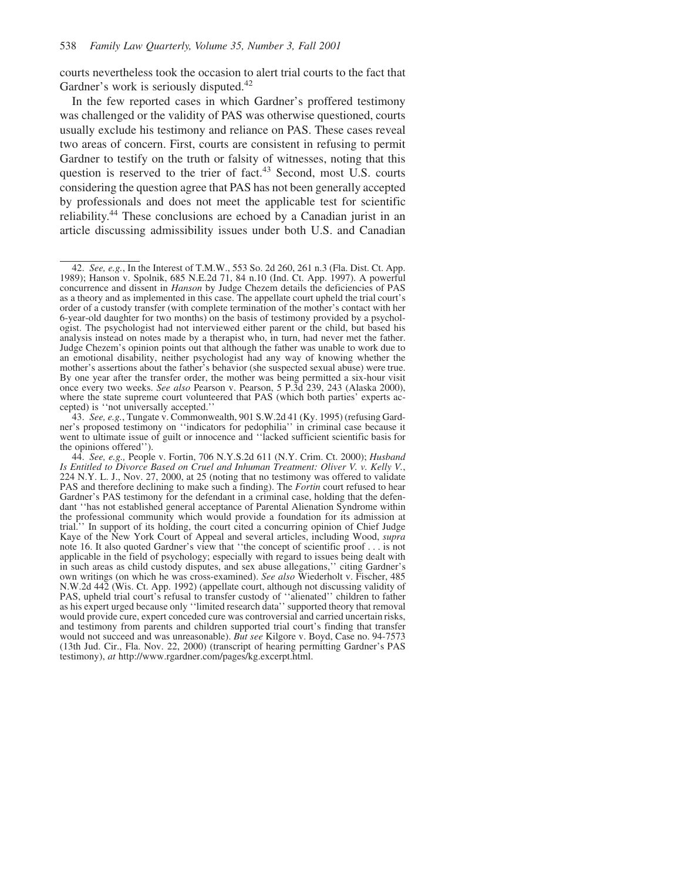courts nevertheless took the occasion to alert trial courts to the fact that Gardner's work is seriously disputed.<sup>42</sup>

In the few reported cases in which Gardner's proffered testimony was challenged or the validity of PAS was otherwise questioned, courts usually exclude his testimony and reliance on PAS. These cases reveal two areas of concern. First, courts are consistent in refusing to permit Gardner to testify on the truth or falsity of witnesses, noting that this question is reserved to the trier of fact.<sup>43</sup> Second, most U.S. courts considering the question agree that PAS has not been generally accepted by professionals and does not meet the applicable test for scientific reliability.44 These conclusions are echoed by a Canadian jurist in an article discussing admissibility issues under both U.S. and Canadian

43. *See, e.g.*, Tungate v. Commonwealth, 901 S.W.2d 41 (Ky. 1995) (refusing Gardner's proposed testimony on ''indicators for pedophilia'' in criminal case because it went to ultimate issue of guilt or innocence and ''lacked sufficient scientific basis for the opinions offered'').

<sup>42.</sup> *See, e.g.*, In the Interest of T.M.W., 553 So. 2d 260, 261 n.3 (Fla. Dist. Ct. App. 1989); Hanson v. Spolnik, 685 N.E.2d 71, 84 n.10 (Ind. Ct. App. 1997). A powerful concurrence and dissent in *Hanson* by Judge Chezem details the deficiencies of PAS as a theory and as implemented in this case. The appellate court upheld the trial court's order of a custody transfer (with complete termination of the mother's contact with her 6-year-old daughter for two months) on the basis of testimony provided by a psychologist. The psychologist had not interviewed either parent or the child, but based his analysis instead on notes made by a therapist who, in turn, had never met the father. Judge Chezem's opinion points out that although the father was unable to work due to an emotional disability, neither psychologist had any way of knowing whether the mother's assertions about the father's behavior (she suspected sexual abuse) were true. By one year after the transfer order, the mother was being permitted a six-hour visit once every two weeks. *See also* Pearson v. Pearson, 5 P.3d 239, 243 (Alaska 2000), where the state supreme court volunteered that PAS (which both parties' experts accepted) is ''not universally accepted.''

<sup>44.</sup> *See, e.g.,* People v. Fortin, 706 N.Y.S.2d 611 (N.Y. Crim. Ct. 2000); *Husband Is Entitled to Divorce Based on Cruel and Inhuman Treatment: Oliver V. v. Kelly V.*, 224 N.Y. L. J., Nov. 27, 2000, at 25 (noting that no testimony was offered to validate PAS and therefore declining to make such a finding). The *Fortin* court refused to hear Gardner's PAS testimony for the defendant in a criminal case, holding that the defendant ''has not established general acceptance of Parental Alienation Syndrome within the professional community which would provide a foundation for its admission at trial.'' In support of its holding, the court cited a concurring opinion of Chief Judge Kaye of the New York Court of Appeal and several articles, including Wood, *supra* note 16. It also quoted Gardner's view that ''the concept of scientific proof . . . is not applicable in the field of psychology; especially with regard to issues being dealt with in such areas as child custody disputes, and sex abuse allegations,'' citing Gardner's own writings (on which he was cross-examined). *See also* Wiederholt v. Fischer, 485 N.W.2d 442 (Wis. Ct. App. 1992) (appellate court, although not discussing validity of PAS, upheld trial court's refusal to transfer custody of ''alienated'' children to father as his expert urged because only ''limited research data'' supported theory that removal would provide cure, expert conceded cure was controversial and carried uncertain risks, and testimony from parents and children supported trial court's finding that transfer would not succeed and was unreasonable). *But see* Kilgore v. Boyd, Case no. 94-7573 (13th Jud. Cir., Fla. Nov. 22, 2000) (transcript of hearing permitting Gardner's PAS testimony), *at* http://www.rgardner.com/pages/kg.excerpt.html.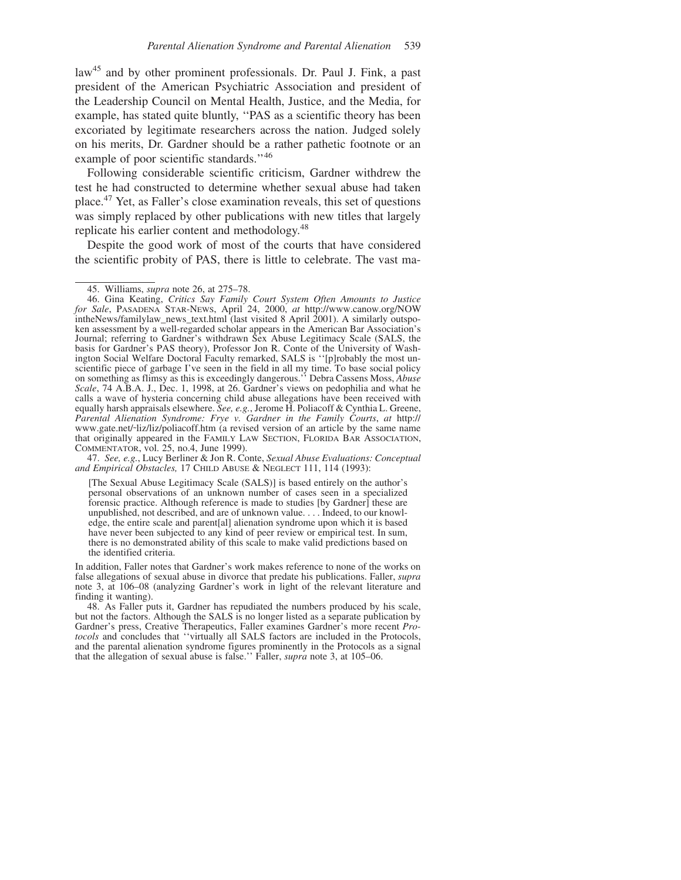law<sup>45</sup> and by other prominent professionals. Dr. Paul J. Fink, a past president of the American Psychiatric Association and president of the Leadership Council on Mental Health, Justice, and the Media, for example, has stated quite bluntly, ''PAS as a scientific theory has been excoriated by legitimate researchers across the nation. Judged solely on his merits, Dr. Gardner should be a rather pathetic footnote or an example of poor scientific standards."<sup>46</sup>

Following considerable scientific criticism, Gardner withdrew the test he had constructed to determine whether sexual abuse had taken place.47 Yet, as Faller's close examination reveals, this set of questions was simply replaced by other publications with new titles that largely replicate his earlier content and methodology.<sup>48</sup>

Despite the good work of most of the courts that have considered the scientific probity of PAS, there is little to celebrate. The vast ma-

47. *See, e.g.*, Lucy Berliner & Jon R. Conte, *Sexual Abuse Evaluations: Conceptual and Empirical Obstacles,* 17 CHILD ABUSE & NEGLECT 111, 114 (1993):

[The Sexual Abuse Legitimacy Scale (SALS)] is based entirely on the author's personal observations of an unknown number of cases seen in a specialized forensic practice. Although reference is made to studies [by Gardner] these are unpublished, not described, and are of unknown value. . . . Indeed, to our knowledge, the entire scale and parent[al] alienation syndrome upon which it is based have never been subjected to any kind of peer review or empirical test. In sum, there is no demonstrated ability of this scale to make valid predictions based on the identified criteria.

In addition, Faller notes that Gardner's work makes reference to none of the works on false allegations of sexual abuse in divorce that predate his publications. Faller, *supra* note 3, at 106–08 (analyzing Gardner's work in light of the relevant literature and finding it wanting).

48. As Faller puts it, Gardner has repudiated the numbers produced by his scale, but not the factors. Although the SALS is no longer listed as a separate publication by Gardner's press, Creative Therapeutics, Faller examines Gardner's more recent *Protocols* and concludes that ''virtually all SALS factors are included in the Protocols, and the parental alienation syndrome figures prominently in the Protocols as a signal that the allegation of sexual abuse is false.'' Faller, *supra* note 3, at 105–06.

<sup>45.</sup> Williams, *supra* note 26, at 275–78.

<sup>46.</sup> Gina Keating, *Critics Say Family Court System Often Amounts to Justice for Sale*, PASADENA STAR-NEWS, April 24, 2000, *at* http://www.canow.org/NOW intheNews/familylaw\_news\_text.html (last visited 8 April 2001). A similarly outspoken assessment by a well-regarded scholar appears in the American Bar Association's Journal; referring to Gardner's withdrawn Sex Abuse Legitimacy Scale (SALS, the basis for Gardner's PAS theory), Professor Jon R. Conte of the University of Washington Social Welfare Doctoral Faculty remarked, SALS is ''[p]robably the most unscientific piece of garbage I've seen in the field in all my time. To base social policy on something as flimsy as this is exceedingly dangerous.'' Debra Cassens Moss, *Abuse Scale*, 74 A.B.A. J., Dec. 1, 1998, at 26. Gardner's views on pedophilia and what he calls a wave of hysteria concerning child abuse allegations have been received with equally harsh appraisals elsewhere. *See, e.g.*, Jerome H. Poliacoff & Cynthia L. Greene, *Parental Alienation Syndrome: Frye v. Gardner in the Family Courts*, *at* http:// www.gate.net/~liz/liz/poliacoff.htm (a revised version of an article by the same name that originally appeared in the FAMILY LAW SECTION, FLORIDA BAR ASSOCIATION, COMMENTATOR, vol. 25, no.4, June 1999).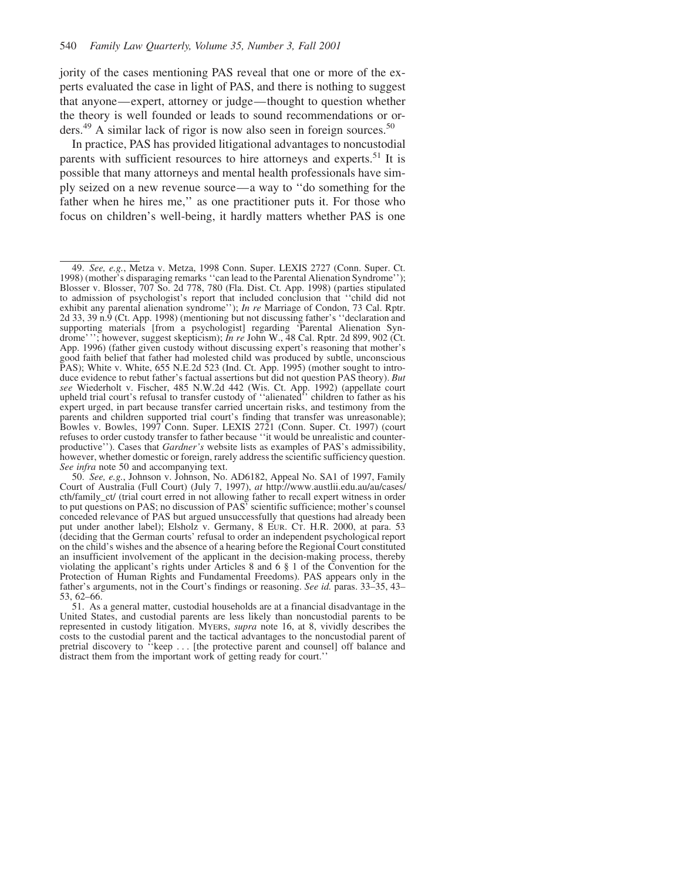jority of the cases mentioning PAS reveal that one or more of the experts evaluated the case in light of PAS, and there is nothing to suggest that anyone—expert, attorney or judge—thought to question whether the theory is well founded or leads to sound recommendations or orders. $49$  A similar lack of rigor is now also seen in foreign sources.<sup>50</sup>

In practice, PAS has provided litigational advantages to noncustodial parents with sufficient resources to hire attorneys and experts.<sup>51</sup> It is possible that many attorneys and mental health professionals have simply seized on a new revenue source—a way to ''do something for the father when he hires me,'' as one practitioner puts it. For those who focus on children's well-being, it hardly matters whether PAS is one

<sup>49.</sup> *See, e.g.*, Metza v. Metza, 1998 Conn. Super. LEXIS 2727 (Conn. Super. Ct. 1998) (mother's disparaging remarks ''can lead to the Parental Alienation Syndrome''); Blosser v. Blosser, 707 So. 2d 778, 780 (Fla. Dist. Ct. App. 1998) (parties stipulated to admission of psychologist's report that included conclusion that ''child did not exhibit any parental alienation syndrome''); *In re* Marriage of Condon, 73 Cal. Rptr. 2d 33, 39 n.9 (Ct. App. 1998) (mentioning but not discussing father's ''declaration and supporting materials [from a psychologist] regarding 'Parental Alienation Syndrome'''; however, suggest skepticism); *In re* John W., 48 Cal. Rptr. 2d 899, 902 (Ct. App. 1996) (father given custody without discussing expert's reasoning that mother's good faith belief that father had molested child was produced by subtle, unconscious PAS); White v. White, 655 N.E.2d 523 (Ind. Ct. App. 1995) (mother sought to introduce evidence to rebut father's factual assertions but did not question PAS theory). *But see* Wiederholt v. Fischer, 485 N.W.2d 442 (Wis. Ct. App. 1992) (appellate court upheld trial court's refusal to transfer custody of ''alienated'' children to father as his expert urged, in part because transfer carried uncertain risks, and testimony from the parents and children supported trial court's finding that transfer was unreasonable); Bowles v. Bowles, 1997 Conn. Super. LEXIS 2721 (Conn. Super. Ct. 1997) (court refuses to order custody transfer to father because ''it would be unrealistic and counterproductive''). Cases that *Gardner's* website lists as examples of PAS's admissibility, however, whether domestic or foreign, rarely address the scientific sufficiency question. *See infra* note 50 and accompanying text.

<sup>50.</sup> *See, e.g.*, Johnson v. Johnson, No. AD6182, Appeal No. SA1 of 1997, Family Court of Australia (Full Court) (July 7, 1997), *at* http://www.austlii.edu.au/au/cases/ cth/family\_ct/ (trial court erred in not allowing father to recall expert witness in order to put questions on PAS; no discussion of PAS' scientific sufficience; mother's counsel conceded relevance of PAS but argued unsuccessfully that questions had already been put under another label); Elsholz v. Germany, 8 EUR. CT. H.R. 2000, at para. 53 (deciding that the German courts' refusal to order an independent psychological report on the child's wishes and the absence of a hearing before the Regional Court constituted an insufficient involvement of the applicant in the decision-making process, thereby violating the applicant's rights under Articles 8 and 6 § 1 of the Convention for the Protection of Human Rights and Fundamental Freedoms). PAS appears only in the father's arguments, not in the Court's findings or reasoning. *See id.* paras. 33–35, 43– 53, 62–66.

<sup>51.</sup> As a general matter, custodial households are at a financial disadvantage in the United States, and custodial parents are less likely than noncustodial parents to be represented in custody litigation. MYERS, *supra* note 16, at 8, vividly describes the costs to the custodial parent and the tactical advantages to the noncustodial parent of pretrial discovery to ''keep . . . [the protective parent and counsel] off balance and distract them from the important work of getting ready for court.''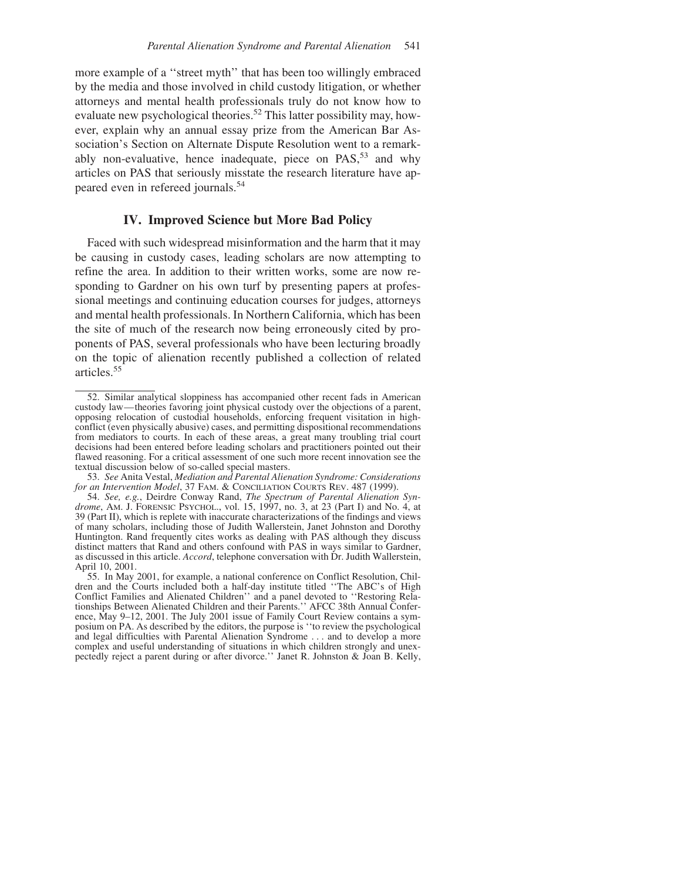more example of a ''street myth'' that has been too willingly embraced by the media and those involved in child custody litigation, or whether attorneys and mental health professionals truly do not know how to evaluate new psychological theories.<sup>52</sup> This latter possibility may, however, explain why an annual essay prize from the American Bar Association's Section on Alternate Dispute Resolution went to a remarkably non-evaluative, hence inadequate, piece on  $PAS$ <sup>53</sup> and why articles on PAS that seriously misstate the research literature have appeared even in refereed journals.<sup>54</sup>

## **IV. Improved Science but More Bad Policy**

Faced with such widespread misinformation and the harm that it may be causing in custody cases, leading scholars are now attempting to refine the area. In addition to their written works, some are now responding to Gardner on his own turf by presenting papers at professional meetings and continuing education courses for judges, attorneys and mental health professionals. In Northern California, which has been the site of much of the research now being erroneously cited by proponents of PAS, several professionals who have been lecturing broadly on the topic of alienation recently published a collection of related articles.55

<sup>52.</sup> Similar analytical sloppiness has accompanied other recent fads in American custody law—theories favoring joint physical custody over the objections of a parent, opposing relocation of custodial households, enforcing frequent visitation in highconflict (even physically abusive) cases, and permitting dispositional recommendations from mediators to courts. In each of these areas, a great many troubling trial court decisions had been entered before leading scholars and practitioners pointed out their flawed reasoning. For a critical assessment of one such more recent innovation see the textual discussion below of so-called special masters.

<sup>53.</sup> *See* Anita Vestal, *Mediation and Parental Alienation Syndrome: Considerations* for an Intervention Model, 37 FAM. & CONCILIATION COURTS REV. 487 (1999).

<sup>54.</sup> *See, e.g.*, Deirdre Conway Rand, *The Spectrum of Parental Alienation Syndrome*, AM. J. FORENSIC PSYCHOL., vol. 15, 1997, no. 3, at 23 (Part I) and No. 4, at 39 (Part II), which is replete with inaccurate characterizations of the findings and views of many scholars, including those of Judith Wallerstein, Janet Johnston and Dorothy Huntington. Rand frequently cites works as dealing with PAS although they discuss distinct matters that Rand and others confound with PAS in ways similar to Gardner, as discussed in this article. *Accord*, telephone conversation with Dr. Judith Wallerstein, April 10, 2001.

<sup>55.</sup> In May 2001, for example, a national conference on Conflict Resolution, Children and the Courts included both a half-day institute titled ''The ABC's of High Conflict Families and Alienated Children'' and a panel devoted to ''Restoring Relationships Between Alienated Children and their Parents.'' AFCC 38th Annual Conference, May 9-12, 2001. The July 2001 issue of Family Court Review contains a symposium on PA. As described by the editors, the purpose is ''to review the psychological and legal difficulties with Parental Alienation Syndrome . . . and to develop a more complex and useful understanding of situations in which children strongly and unexpectedly reject a parent during or after divorce.'' Janet R. Johnston & Joan B. Kelly,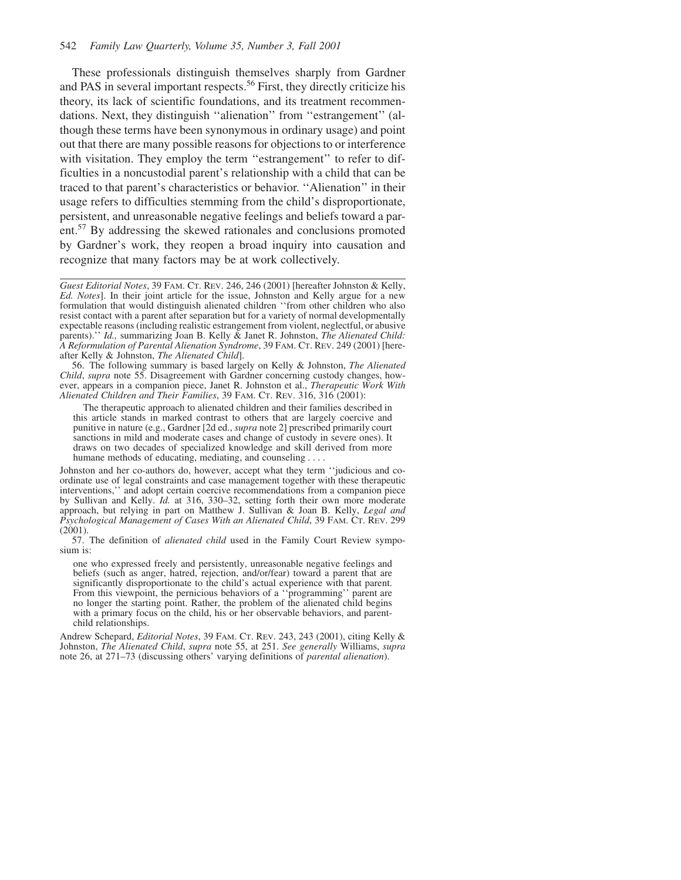These professionals distinguish themselves sharply from Gardner and PAS in several important respects.<sup>56</sup> First, they directly criticize his theory, its lack of scientific foundations, and its treatment recommendations. Next, they distinguish ''alienation'' from ''estrangement'' (although these terms have been synonymous in ordinary usage) and point out that there are many possible reasons for objections to or interference with visitation. They employ the term "estrangement" to refer to difficulties in a noncustodial parent's relationship with a child that can be traced to that parent's characteristics or behavior. ''Alienation'' in their usage refers to difficulties stemming from the child's disproportionate, persistent, and unreasonable negative feelings and beliefs toward a parent.57 By addressing the skewed rationales and conclusions promoted by Gardner's work, they reopen a broad inquiry into causation and recognize that many factors may be at work collectively.

56. The following summary is based largely on Kelly & Johnston, *The Alienated Child*, *supra* note 55. Disagreement with Gardner concerning custody changes, however, appears in a companion piece, Janet R. Johnston et al., *Therapeutic Work With Alienated Children and Their Families*, 39 FAM. CT. REV. 316, 316 (2001):

The therapeutic approach to alienated children and their families described in this article stands in marked contrast to others that are largely coercive and punitive in nature (e.g., Gardner [2d ed., *supra* note 2] prescribed primarily court sanctions in mild and moderate cases and change of custody in severe ones). It draws on two decades of specialized knowledge and skill derived from more humane methods of educating, mediating, and counseling....

Johnston and her co-authors do, however, accept what they term ''judicious and coordinate use of legal constraints and case management together with these therapeutic interventions,'' and adopt certain coercive recommendations from a companion piece by Sullivan and Kelly. *Id.* at 316, 330–32, setting forth their own more moderate approach, but relying in part on Matthew J. Sullivan & Joan B. Kelly, *Legal and Psychological Management of Cases With an Alienated Child*, 39 FAM. CT. REV. 299  $(2001).$ 

57. The definition of *alienated child* used in the Family Court Review symposium is:

one who expressed freely and persistently, unreasonable negative feelings and beliefs (such as anger, hatred, rejection, and/or/fear) toward a parent that are significantly disproportionate to the child's actual experience with that parent. From this viewpoint, the pernicious behaviors of a ''programming'' parent are no longer the starting point. Rather, the problem of the alienated child begins with a primary focus on the child, his or her observable behaviors, and parentchild relationships.

Andrew Schepard, *Editorial Notes*, 39 FAM. CT. REV. 243, 243 (2001), citing Kelly & Johnston, *The Alienated Child*, *supra* note 55, at 251. *See generally* Williams, *supra* note 26, at 271–73 (discussing others' varying definitions of *parental alienation*).

*Guest Editorial Notes*, 39 FAM. CT. REV. 246, 246 (2001) [hereafter Johnston & Kelly, *Ed. Notes*]. In their joint article for the issue, Johnston and Kelly argue for a new formulation that would distinguish alienated children ''from other children who also resist contact with a parent after separation but for a variety of normal developmentally expectable reasons (including realistic estrangement from violent, neglectful, or abusive parents).'' *Id.,* summarizing Joan B. Kelly & Janet R. Johnston, *The Alienated Child: A Reformulation of Parental Alienation Syndrome*, 39 FAM. CT. REV. 249 (2001) [hereafter Kelly & Johnston, *The Alienated Child*].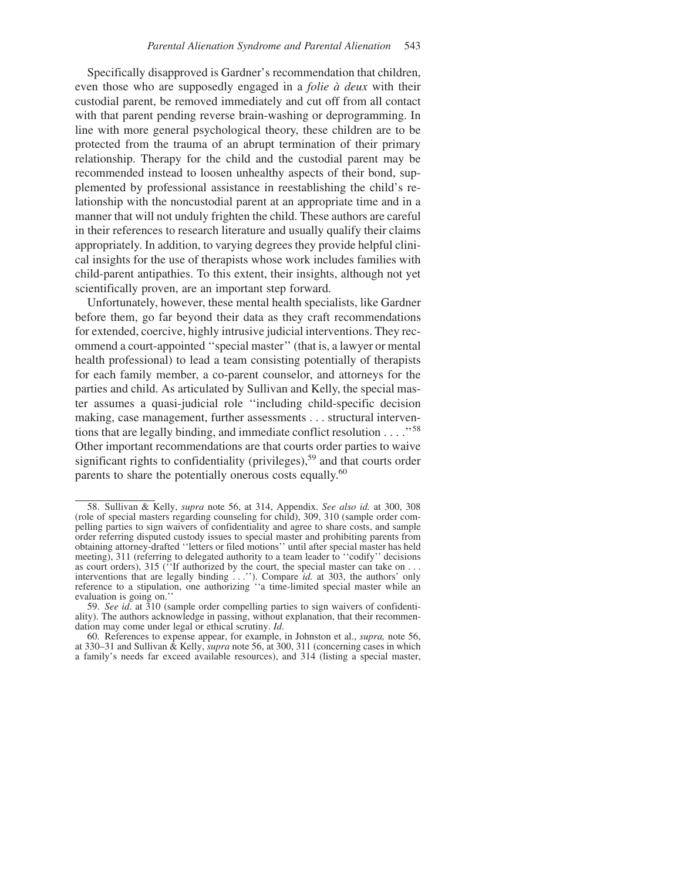Specifically disapproved is Gardner's recommendation that children, even those who are supposedly engaged in a *folie a` deux* with their custodial parent, be removed immediately and cut off from all contact with that parent pending reverse brain-washing or deprogramming. In line with more general psychological theory, these children are to be protected from the trauma of an abrupt termination of their primary relationship. Therapy for the child and the custodial parent may be recommended instead to loosen unhealthy aspects of their bond, supplemented by professional assistance in reestablishing the child's relationship with the noncustodial parent at an appropriate time and in a manner that will not unduly frighten the child. These authors are careful in their references to research literature and usually qualify their claims appropriately. In addition, to varying degrees they provide helpful clinical insights for the use of therapists whose work includes families with child-parent antipathies. To this extent, their insights, although not yet scientifically proven, are an important step forward.

Unfortunately, however, these mental health specialists, like Gardner before them, go far beyond their data as they craft recommendations for extended, coercive, highly intrusive judicial interventions. They recommend a court-appointed ''special master'' (that is, a lawyer or mental health professional) to lead a team consisting potentially of therapists for each family member, a co-parent counselor, and attorneys for the parties and child. As articulated by Sullivan and Kelly, the special master assumes a quasi-judicial role ''including child-specific decision making, case management, further assessments . . . structural interventions that are legally binding, and immediate conflict resolution  $\ldots$ ."<sup>58</sup> Other important recommendations are that courts order parties to waive significant rights to confidentiality (privileges),<sup>59</sup> and that courts order parents to share the potentially onerous costs equally.<sup>60</sup>

<sup>58.</sup> Sullivan & Kelly, *supra* note 56, at 314, Appendix. *See also id.* at 300, 308 (role of special masters regarding counseling for child), 309, 310 (sample order compelling parties to sign waivers of confidentiality and agree to share costs, and sample order referring disputed custody issues to special master and prohibiting parents from obtaining attorney-drafted ''letters or filed motions'' until after special master has held meeting), 311 (referring to delegated authority to a team leader to ''codify'' decisions as court orders), 315 ("If authorized by the court, the special master can take on . . . interventions that are legally binding . . .''). Compare *id.* at 303, the authors' only reference to a stipulation, one authorizing ''a time-limited special master while an evaluation is going on.''

<sup>59.</sup> *See id*. at 310 (sample order compelling parties to sign waivers of confidentiality). The authors acknowledge in passing, without explanation, that their recommendation may come under legal or ethical scrutiny. *Id*.

<sup>60.</sup> References to expense appear, for example, in Johnston et al., *supra,* note 56, at 330–31 and Sullivan & Kelly, *supra* note 56, at 300, 311 (concerning cases in which a family's needs far exceed available resources), and 314 (listing a special master,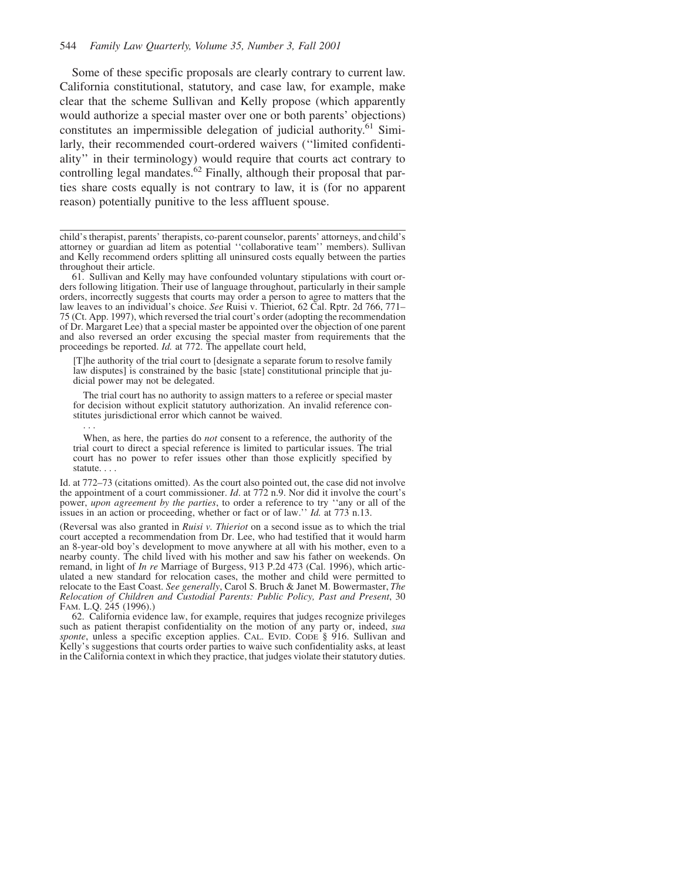Some of these specific proposals are clearly contrary to current law. California constitutional, statutory, and case law, for example, make clear that the scheme Sullivan and Kelly propose (which apparently would authorize a special master over one or both parents' objections) constitutes an impermissible delegation of judicial authority.<sup>61</sup> Similarly, their recommended court-ordered waivers (''limited confidentiality'' in their terminology) would require that courts act contrary to controlling legal mandates.<sup>62</sup> Finally, although their proposal that parties share costs equally is not contrary to law, it is (for no apparent reason) potentially punitive to the less affluent spouse.

child's therapist, parents' therapists, co-parent counselor, parents' attorneys, and child's attorney or guardian ad litem as potential ''collaborative team'' members). Sullivan and Kelly recommend orders splitting all uninsured costs equally between the parties throughout their article.

61. Sullivan and Kelly may have confounded voluntary stipulations with court orders following litigation. Their use of language throughout, particularly in their sample orders, incorrectly suggests that courts may order a person to agree to matters that the law leaves to an individual's choice. *See* Ruisi v. Thieriot, 62 Cal. Rptr. 2d 766, 771– 75 (Ct. App. 1997), which reversed the trial court's order (adopting the recommendation of Dr. Margaret Lee) that a special master be appointed over the objection of one parent and also reversed an order excusing the special master from requirements that the proceedings be reported. *Id.* at 772. The appellate court held,

[T]he authority of the trial court to [designate a separate forum to resolve family law disputes] is constrained by the basic [state] constitutional principle that judicial power may not be delegated.

The trial court has no authority to assign matters to a referee or special master for decision without explicit statutory authorization. An invalid reference constitutes jurisdictional error which cannot be waived.

When, as here, the parties do *not* consent to a reference, the authority of the trial court to direct a special reference is limited to particular issues. The trial court has no power to refer issues other than those explicitly specified by statute...

Id. at 772–73 (citations omitted). As the court also pointed out, the case did not involve the appointment of a court commissioner. *Id*. at 772 n.9. Nor did it involve the court's power, *upon agreement by the parties*, to order a reference to try ''any or all of the issues in an action or proceeding, whether or fact or of law.'' *Id.* at 773 n.13.

(Reversal was also granted in *Ruisi v. Thieriot* on a second issue as to which the trial court accepted a recommendation from Dr. Lee, who had testified that it would harm an 8-year-old boy's development to move anywhere at all with his mother, even to a nearby county. The child lived with his mother and saw his father on weekends. On remand, in light of *In re* Marriage of Burgess, 913 P.2d 473 (Cal. 1996), which articulated a new standard for relocation cases, the mother and child were permitted to relocate to the East Coast. *See generally*, Carol S. Bruch & Janet M. Bowermaster, *The Relocation of Children and Custodial Parents: Public Policy, Past and Present*, 30 FAM. L.Q. 245 (1996).)

62. California evidence law, for example, requires that judges recognize privileges such as patient therapist confidentiality on the motion of any party or, indeed, *sua sponte*, unless a specific exception applies. CAL. EVID. CODE § 916. Sullivan and Kelly's suggestions that courts order parties to waive such confidentiality asks, at least in the California context in which they practice, that judges violate their statutory duties.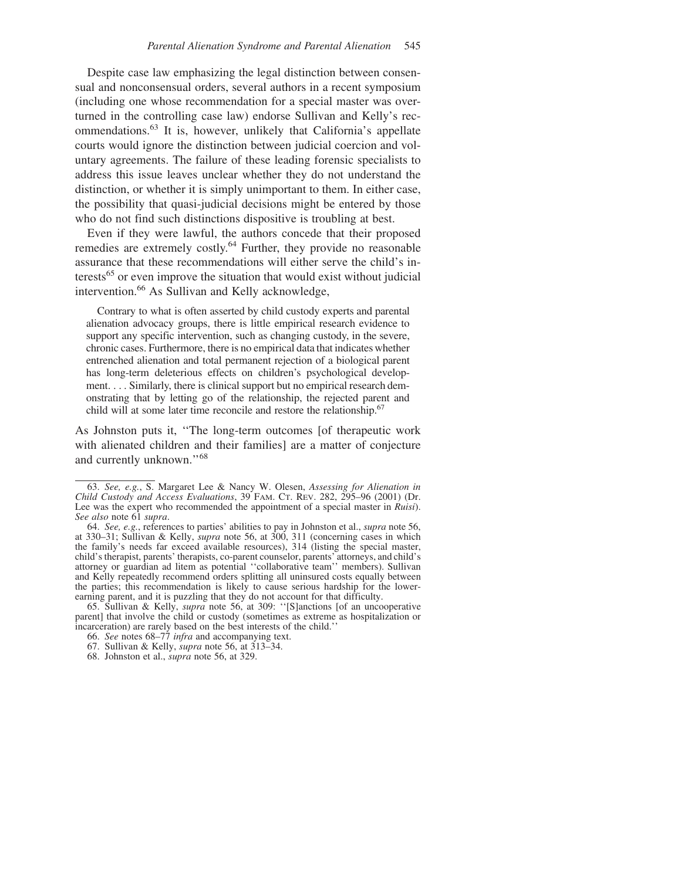Despite case law emphasizing the legal distinction between consensual and nonconsensual orders, several authors in a recent symposium (including one whose recommendation for a special master was overturned in the controlling case law) endorse Sullivan and Kelly's recommendations.<sup>63</sup> It is, however, unlikely that California's appellate courts would ignore the distinction between judicial coercion and voluntary agreements. The failure of these leading forensic specialists to address this issue leaves unclear whether they do not understand the distinction, or whether it is simply unimportant to them. In either case, the possibility that quasi-judicial decisions might be entered by those who do not find such distinctions dispositive is troubling at best.

Even if they were lawful, the authors concede that their proposed remedies are extremely costly.<sup>64</sup> Further, they provide no reasonable assurance that these recommendations will either serve the child's interests<sup>65</sup> or even improve the situation that would exist without judicial intervention.66 As Sullivan and Kelly acknowledge,

Contrary to what is often asserted by child custody experts and parental alienation advocacy groups, there is little empirical research evidence to support any specific intervention, such as changing custody, in the severe, chronic cases. Furthermore, there is no empirical data that indicates whether entrenched alienation and total permanent rejection of a biological parent has long-term deleterious effects on children's psychological development. . . . Similarly, there is clinical support but no empirical research demonstrating that by letting go of the relationship, the rejected parent and child will at some later time reconcile and restore the relationship.<sup>67</sup>

As Johnston puts it, ''The long-term outcomes [of therapeutic work with alienated children and their families] are a matter of conjecture and currently unknown.''68

<sup>63.</sup> *See, e.g.*, S. Margaret Lee & Nancy W. Olesen, *Assessing for Alienation in Child Custody and Access Evaluations*, 39 FAM. CT. REV. 282, 295–96 (2001) (Dr. Lee was the expert who recommended the appointment of a special master in *Ruisi*). See also note 61 supra.

*See also* note 61 *supra*. 64. *See, e.g.*, references to parties' abilities to pay in Johnston et al., *supra* note 56, at 330–31; Sullivan & Kelly, *supra* note 56, at 300, 311 (concerning cases in which the family's needs far exceed available resources), 314 (listing the special master, child's therapist, parents' therapists, co-parent counselor, parents' attorneys, and child's attorney or guardian ad litem as potential ''collaborative team'' members). Sullivan and Kelly repeatedly recommend orders splitting all uninsured costs equally between the parties; this recommendation is likely to cause serious hardship for the lowerearning parent, and it is puzzling that they do not account for that difficulty.

<sup>65.</sup> Sullivan & Kelly, *supra* note 56, at 309: ''[S]anctions [of an uncooperative parent] that involve the child or custody (sometimes as extreme as hospitalization or incarceration) are rarely based on the best interests of the child.''

<sup>66.</sup> *See* notes 68–77 *infra* and accompanying text.

<sup>67.</sup> Sullivan & Kelly, *supra* note 56, at 313–34.

<sup>68.</sup> Johnston et al., *supra* note 56, at 329.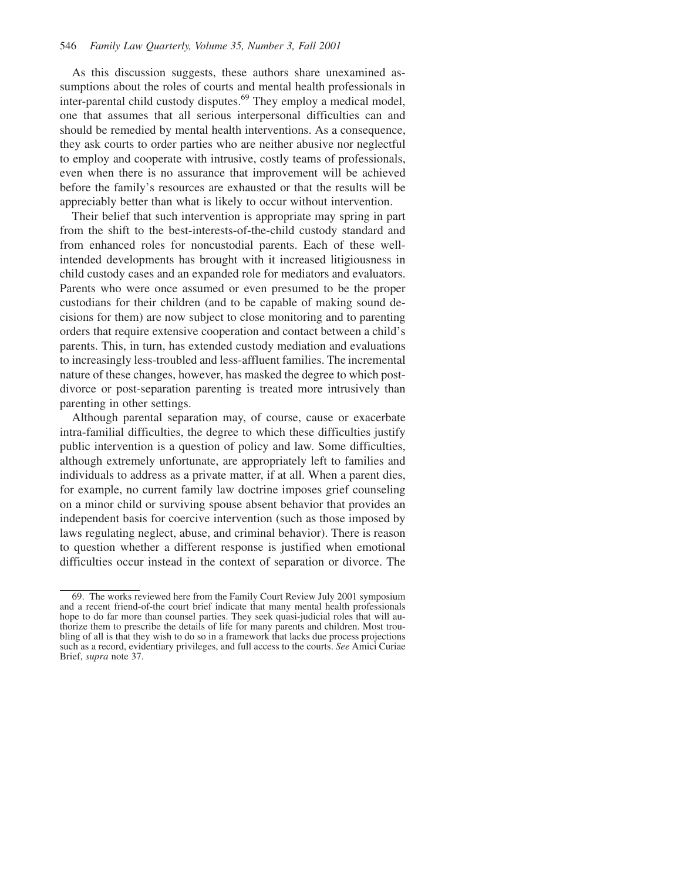As this discussion suggests, these authors share unexamined assumptions about the roles of courts and mental health professionals in inter-parental child custody disputes.<sup>69</sup> They employ a medical model, one that assumes that all serious interpersonal difficulties can and should be remedied by mental health interventions. As a consequence, they ask courts to order parties who are neither abusive nor neglectful to employ and cooperate with intrusive, costly teams of professionals, even when there is no assurance that improvement will be achieved before the family's resources are exhausted or that the results will be appreciably better than what is likely to occur without intervention.

Their belief that such intervention is appropriate may spring in part from the shift to the best-interests-of-the-child custody standard and from enhanced roles for noncustodial parents. Each of these wellintended developments has brought with it increased litigiousness in child custody cases and an expanded role for mediators and evaluators. Parents who were once assumed or even presumed to be the proper custodians for their children (and to be capable of making sound decisions for them) are now subject to close monitoring and to parenting orders that require extensive cooperation and contact between a child's parents. This, in turn, has extended custody mediation and evaluations to increasingly less-troubled and less-affluent families. The incremental nature of these changes, however, has masked the degree to which postdivorce or post-separation parenting is treated more intrusively than parenting in other settings.

Although parental separation may, of course, cause or exacerbate intra-familial difficulties, the degree to which these difficulties justify public intervention is a question of policy and law. Some difficulties, although extremely unfortunate, are appropriately left to families and individuals to address as a private matter, if at all. When a parent dies, for example, no current family law doctrine imposes grief counseling on a minor child or surviving spouse absent behavior that provides an independent basis for coercive intervention (such as those imposed by laws regulating neglect, abuse, and criminal behavior). There is reason to question whether a different response is justified when emotional difficulties occur instead in the context of separation or divorce. The

<sup>69.</sup> The works reviewed here from the Family Court Review July 2001 symposium and a recent friend-of-the court brief indicate that many mental health professionals hope to do far more than counsel parties. They seek quasi-judicial roles that will authorize them to prescribe the details of life for many parents and children. Most troubling of all is that they wish to do so in a framework that lacks due process projections such as a record, evidentiary privileges, and full access to the courts. *See* Amici Curiae Brief, *supra* note 37.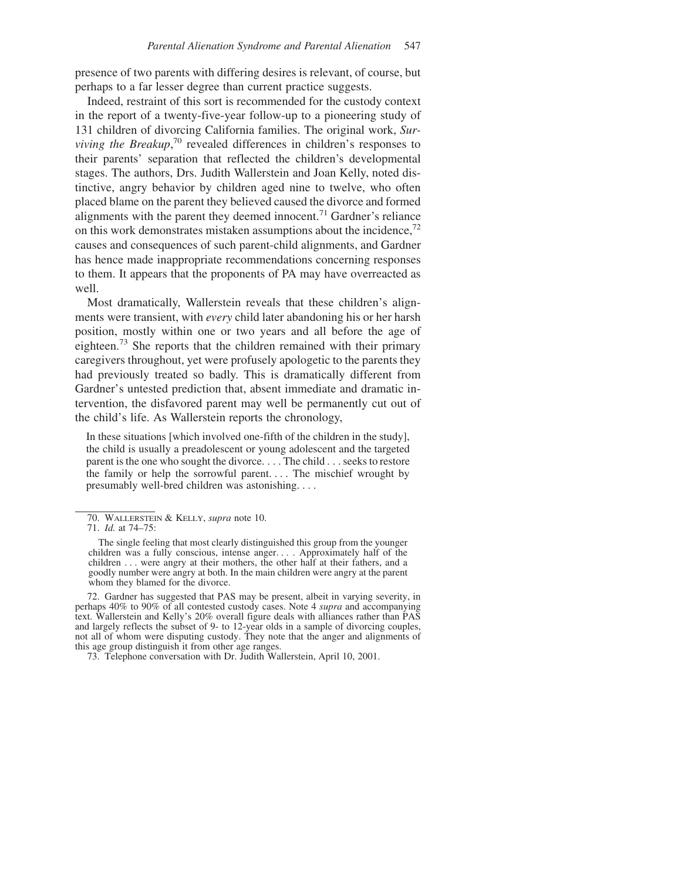presence of two parents with differing desires is relevant, of course, but perhaps to a far lesser degree than current practice suggests.

Indeed, restraint of this sort is recommended for the custody context in the report of a twenty-five-year follow-up to a pioneering study of 131 children of divorcing California families. The original work, *Sur*viving the Breakup,<sup>70</sup> revealed differences in children's responses to their parents' separation that reflected the children's developmental stages. The authors, Drs. Judith Wallerstein and Joan Kelly, noted distinctive, angry behavior by children aged nine to twelve, who often placed blame on the parent they believed caused the divorce and formed alignments with the parent they deemed innocent.<sup>71</sup> Gardner's reliance on this work demonstrates mistaken assumptions about the incidence,  $72$ causes and consequences of such parent-child alignments, and Gardner has hence made inappropriate recommendations concerning responses to them. It appears that the proponents of PA may have overreacted as well.

Most dramatically, Wallerstein reveals that these children's alignments were transient, with *every* child later abandoning his or her harsh position, mostly within one or two years and all before the age of eighteen.<sup>73</sup> She reports that the children remained with their primary caregivers throughout, yet were profusely apologetic to the parents they had previously treated so badly. This is dramatically different from Gardner's untested prediction that, absent immediate and dramatic intervention, the disfavored parent may well be permanently cut out of the child's life. As Wallerstein reports the chronology,

In these situations [which involved one-fifth of the children in the study], the child is usually a preadolescent or young adolescent and the targeted parent is the one who sought the divorce. . . . The child . . . seeks to restore the family or help the sorrowful parent. . . . The mischief wrought by presumably well-bred children was astonishing....

<sup>70.</sup> WALLERSTEIN & KELLY, *supra* note 10.

<sup>71.</sup> *Id.* at 74–75:

The single feeling that most clearly distinguished this group from the younger children was a fully conscious, intense anger. . . . Approximately half of the children . . . were angry at their mothers, the other half at their fathers, and a goodly number were angry at both. In the main children were angry at the parent whom they blamed for the divorce.

<sup>72.</sup> Gardner has suggested that PAS may be present, albeit in varying severity, in perhaps 40% to 90% of all contested custody cases. Note 4 *supra* and accompanying text. Wallerstein and Kelly's 20% overall figure deals with alliances rather than PAS and largely reflects the subset of 9- to 12-year olds in a sample of divorcing couples, not all of whom were disputing custody. They note that the anger and alignments of this age group distinguish it from other age ranges.

<sup>73.</sup> Telephone conversation with Dr. Judith Wallerstein, April 10, 2001.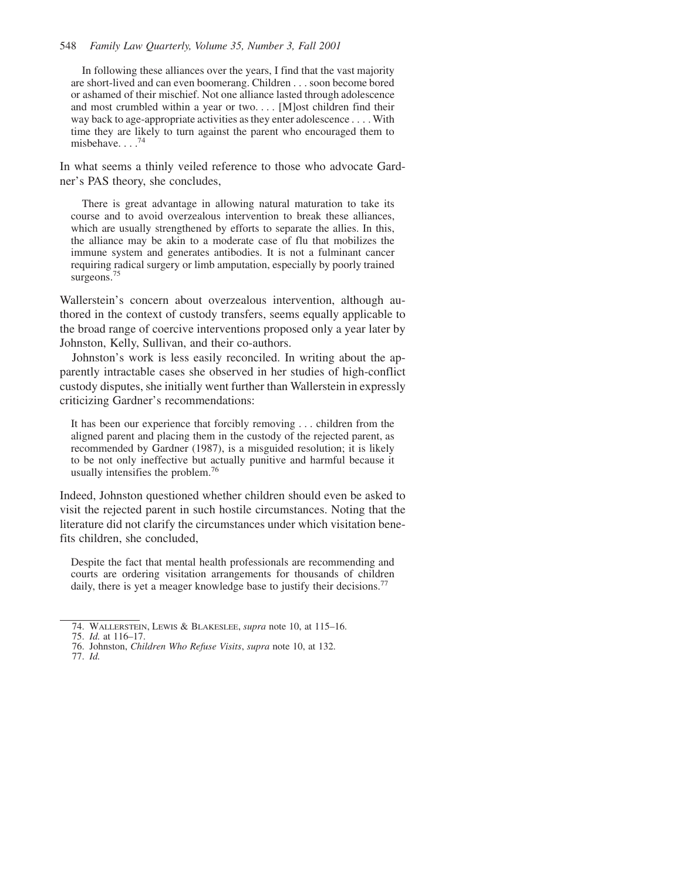#### 548 *Family Law Quarterly, Volume 35, Number 3, Fall 2001*

In following these alliances over the years, I find that the vast majority are short-lived and can even boomerang. Children . . . soon become bored or ashamed of their mischief. Not one alliance lasted through adolescence and most crumbled within a year or two.... [M]ost children find their way back to age-appropriate activities as they enter adolescence . . . . With time they are likely to turn against the parent who encouraged them to misbehave....74

In what seems a thinly veiled reference to those who advocate Gardner's PAS theory, she concludes,

There is great advantage in allowing natural maturation to take its course and to avoid overzealous intervention to break these alliances, which are usually strengthened by efforts to separate the allies. In this, the alliance may be akin to a moderate case of flu that mobilizes the immune system and generates antibodies. It is not a fulminant cancer requiring radical surgery or limb amputation, especially by poorly trained surgeons.<sup>75</sup>

Wallerstein's concern about overzealous intervention, although authored in the context of custody transfers, seems equally applicable to the broad range of coercive interventions proposed only a year later by Johnston, Kelly, Sullivan, and their co-authors.

Johnston's work is less easily reconciled. In writing about the apparently intractable cases she observed in her studies of high-conflict custody disputes, she initially went further than Wallerstein in expressly criticizing Gardner's recommendations:

It has been our experience that forcibly removing . . . children from the aligned parent and placing them in the custody of the rejected parent, as recommended by Gardner (1987), is a misguided resolution; it is likely to be not only ineffective but actually punitive and harmful because it usually intensifies the problem.<sup>76</sup>

Indeed, Johnston questioned whether children should even be asked to visit the rejected parent in such hostile circumstances. Noting that the literature did not clarify the circumstances under which visitation benefits children, she concluded,

Despite the fact that mental health professionals are recommending and courts are ordering visitation arrangements for thousands of children daily, there is yet a meager knowledge base to justify their decisions.<sup>77</sup>

77. *Id.*

<sup>74.</sup> WALLERSTEIN, LEWIS & BLAKESLEE, *supra* note 10, at 115–16.

<sup>75.</sup> *Id.* at 116–17.

<sup>76.</sup> Johnston, *Children Who Refuse Visits*, *supra* note 10, at 132.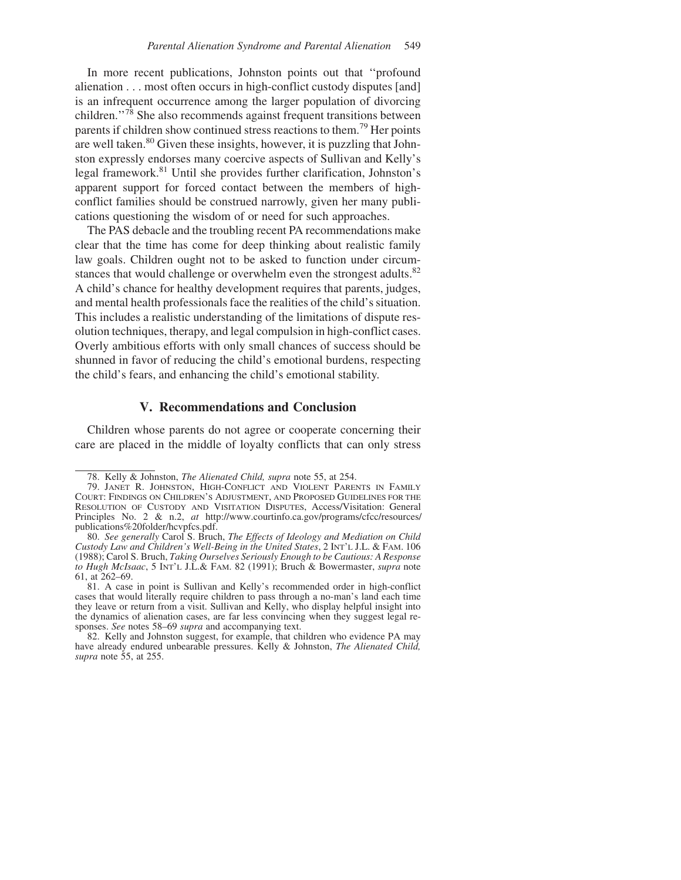In more recent publications, Johnston points out that ''profound alienation . . . most often occurs in high-conflict custody disputes [and] is an infrequent occurrence among the larger population of divorcing children.''78 She also recommends against frequent transitions between parents if children show continued stress reactions to them.79 Her points are well taken.<sup>80</sup> Given these insights, however, it is puzzling that Johnston expressly endorses many coercive aspects of Sullivan and Kelly's legal framework.81 Until she provides further clarification, Johnston's apparent support for forced contact between the members of highconflict families should be construed narrowly, given her many publications questioning the wisdom of or need for such approaches.

The PAS debacle and the troubling recent PA recommendations make clear that the time has come for deep thinking about realistic family law goals. Children ought not to be asked to function under circumstances that would challenge or overwhelm even the strongest adults.<sup>82</sup> A child's chance for healthy development requires that parents, judges, and mental health professionals face the realities of the child's situation. This includes a realistic understanding of the limitations of dispute resolution techniques, therapy, and legal compulsion in high-conflict cases. Overly ambitious efforts with only small chances of success should be shunned in favor of reducing the child's emotional burdens, respecting the child's fears, and enhancing the child's emotional stability.

#### **V. Recommendations and Conclusion**

Children whose parents do not agree or cooperate concerning their care are placed in the middle of loyalty conflicts that can only stress

<sup>78.</sup> Kelly & Johnston, *The Alienated Child, supra* note 55, at 254.

<sup>79.</sup> JANET R. JOHNSTON, HIGH-CONFLICT AND VIOLENT PARENTS IN FAMILY COURT: FINDINGS ON CHILDREN'S ADJUSTMENT, AND PROPOSED GUIDELINES FOR THE RESOLUTION OF CUSTODY AND VISITATION DISPUTES, Access/Visitation: General Principles No. 2 & n.2, *at* http://www.courtinfo.ca.gov/programs/cfcc/resources/ publications%20folder/hcvpfcs.pdf.

<sup>80.</sup> *See generally* Carol S. Bruch, *The Effects of Ideology and Mediation on Child Custody Law and Children's Well-Being in the United States*,2INT'L J.L. & FAM. 106 (1988); Carol S. Bruch, *Taking Ourselves Seriously Enough to be Cautious: A Response to Hugh McIsaac*,5INT'L J.L.& FAM. 82 (1991); Bruch & Bowermaster, *supra* note 61, at 262–69.

<sup>81.</sup> A case in point is Sullivan and Kelly's recommended order in high-conflict cases that would literally require children to pass through a no-man's land each time they leave or return from a visit. Sullivan and Kelly, who display helpful insight into the dynamics of alienation cases, are far less convincing when they suggest legal responses. *See* notes 58–69 *supra* and accompanying text.

<sup>82.</sup> Kelly and Johnston suggest, for example, that children who evidence PA may have already endured unbearable pressures. Kelly & Johnston, *The Alienated Child, supra* note 55, at 255.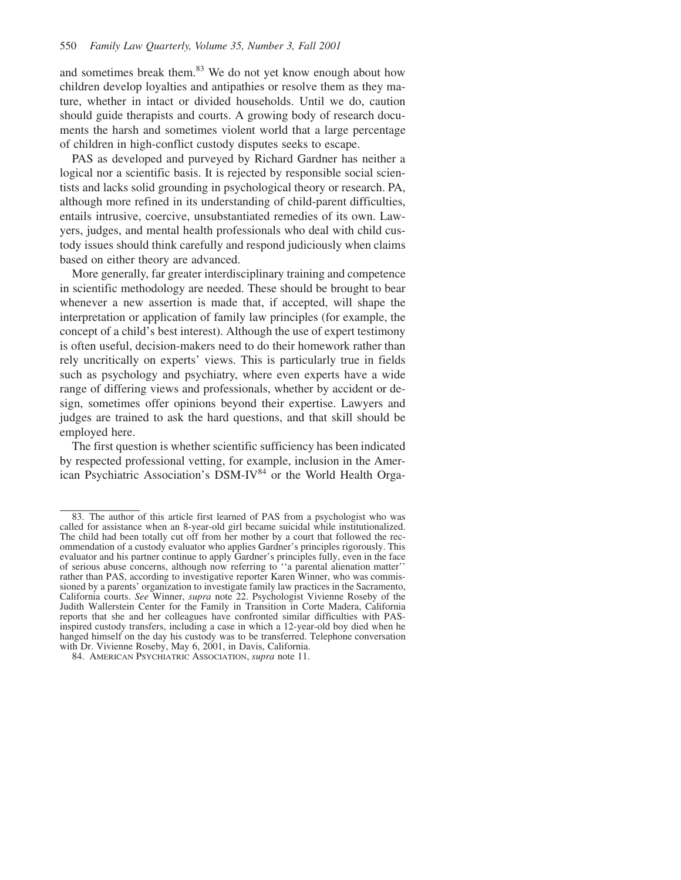and sometimes break them.<sup>83</sup> We do not yet know enough about how children develop loyalties and antipathies or resolve them as they mature, whether in intact or divided households. Until we do, caution should guide therapists and courts. A growing body of research documents the harsh and sometimes violent world that a large percentage of children in high-conflict custody disputes seeks to escape.

PAS as developed and purveyed by Richard Gardner has neither a logical nor a scientific basis. It is rejected by responsible social scientists and lacks solid grounding in psychological theory or research. PA, although more refined in its understanding of child-parent difficulties, entails intrusive, coercive, unsubstantiated remedies of its own. Lawyers, judges, and mental health professionals who deal with child custody issues should think carefully and respond judiciously when claims based on either theory are advanced.

More generally, far greater interdisciplinary training and competence in scientific methodology are needed. These should be brought to bear whenever a new assertion is made that, if accepted, will shape the interpretation or application of family law principles (for example, the concept of a child's best interest). Although the use of expert testimony is often useful, decision-makers need to do their homework rather than rely uncritically on experts' views. This is particularly true in fields such as psychology and psychiatry, where even experts have a wide range of differing views and professionals, whether by accident or design, sometimes offer opinions beyond their expertise. Lawyers and judges are trained to ask the hard questions, and that skill should be employed here.

The first question is whether scientific sufficiency has been indicated by respected professional vetting, for example, inclusion in the American Psychiatric Association's DSM-IV<sup>84</sup> or the World Health Orga-

<sup>83.</sup> The author of this article first learned of PAS from a psychologist who was called for assistance when an 8-year-old girl became suicidal while institutionalized. The child had been totally cut off from her mother by a court that followed the recommendation of a custody evaluator who applies Gardner's principles rigorously. This evaluator and his partner continue to apply Gardner's principles fully, even in the face of serious abuse concerns, although now referring to ''a parental alienation matter'' rather than PAS, according to investigative reporter Karen Winner, who was commissioned by a parents' organization to investigate family law practices in the Sacramento, California courts. *See* Winner, *supra* note 22. Psychologist Vivienne Roseby of the Judith Wallerstein Center for the Family in Transition in Corte Madera, California reports that she and her colleagues have confronted similar difficulties with PASinspired custody transfers, including a case in which a 12-year-old boy died when he hanged himself on the day his custody was to be transferred. Telephone conversation with Dr. Vivienne Roseby, May 6, 2001, in Davis, California.

<sup>84.</sup> AMERICAN PSYCHIATRIC ASSOCIATION, *supra* note 11.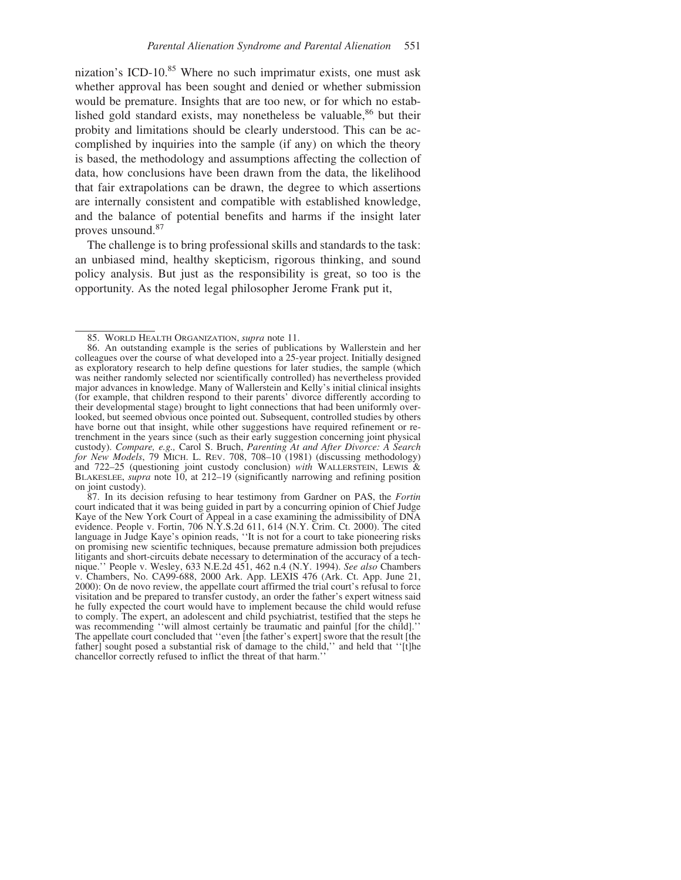nization's ICD-10.<sup>85</sup> Where no such imprimatur exists, one must ask whether approval has been sought and denied or whether submission would be premature. Insights that are too new, or for which no established gold standard exists, may nonetheless be valuable,  $86$  but their probity and limitations should be clearly understood. This can be accomplished by inquiries into the sample (if any) on which the theory is based, the methodology and assumptions affecting the collection of data, how conclusions have been drawn from the data, the likelihood that fair extrapolations can be drawn, the degree to which assertions are internally consistent and compatible with established knowledge, and the balance of potential benefits and harms if the insight later proves unsound.<sup>87</sup>

The challenge is to bring professional skills and standards to the task: an unbiased mind, healthy skepticism, rigorous thinking, and sound policy analysis. But just as the responsibility is great, so too is the opportunity. As the noted legal philosopher Jerome Frank put it,

<sup>85.</sup> WORLD HEALTH ORGANIZATION, *supra* note 11.

<sup>86.</sup> An outstanding example is the series of publications by Wallerstein and her colleagues over the course of what developed into a 25-year project. Initially designed as exploratory research to help define questions for later studies, the sample (which was neither randomly selected nor scientifically controlled) has nevertheless provided major advances in knowledge. Many of Wallerstein and Kelly's initial clinical insights (for example, that children respond to their parents' divorce differently according to their developmental stage) brought to light connections that had been uniformly overlooked, but seemed obvious once pointed out. Subsequent, controlled studies by others have borne out that insight, while other suggestions have required refinement or retrenchment in the years since (such as their early suggestion concerning joint physical custody). *Compare, e.g.,* Carol S. Bruch, *Parenting At and After Divorce: A Search for New Models*, 79 MICH. L. REV. 708, 708–10 (1981) (discussing methodology) and 722–25 (questioning joint custody conclusion) *with* WALLERSTEIN, LEWIS & BLAKESLEE, *supra* note 10, at 212–19 (significantly narrowing and refining position on joint custody).

<sup>87.</sup> In its decision refusing to hear testimony from Gardner on PAS, the *Fortin* court indicated that it was being guided in part by a concurring opinion of Chief Judge Kaye of the New York Court of Appeal in a case examining the admissibility of DNA evidence. People v. Fortin, 706 N.Y.S.2d 611, 614 (N.Y. Crim. Ct. 2000). The cited language in Judge Kaye's opinion reads, ''It is not for a court to take pioneering risks on promising new scientific techniques, because premature admission both prejudices litigants and short-circuits debate necessary to determination of the accuracy of a technique.'' People v. Wesley, 633 N.E.2d 451, 462 n.4 (N.Y. 1994). *See also* Chambers v. Chambers, No. CA99-688, 2000 Ark. App. LEXIS 476 (Ark. Ct. App. June 21, 2000): On de novo review, the appellate court affirmed the trial court's refusal to force visitation and be prepared to transfer custody, an order the father's expert witness said he fully expected the court would have to implement because the child would refuse to comply. The expert, an adolescent and child psychiatrist, testified that the steps he was recommending ''will almost certainly be traumatic and painful [for the child].'' The appellate court concluded that "even [the father's expert] swore that the result [the father] sought posed a substantial risk of damage to the child," and held that "[t]he chancellor correctly refused to inflict the threat of that harm.''